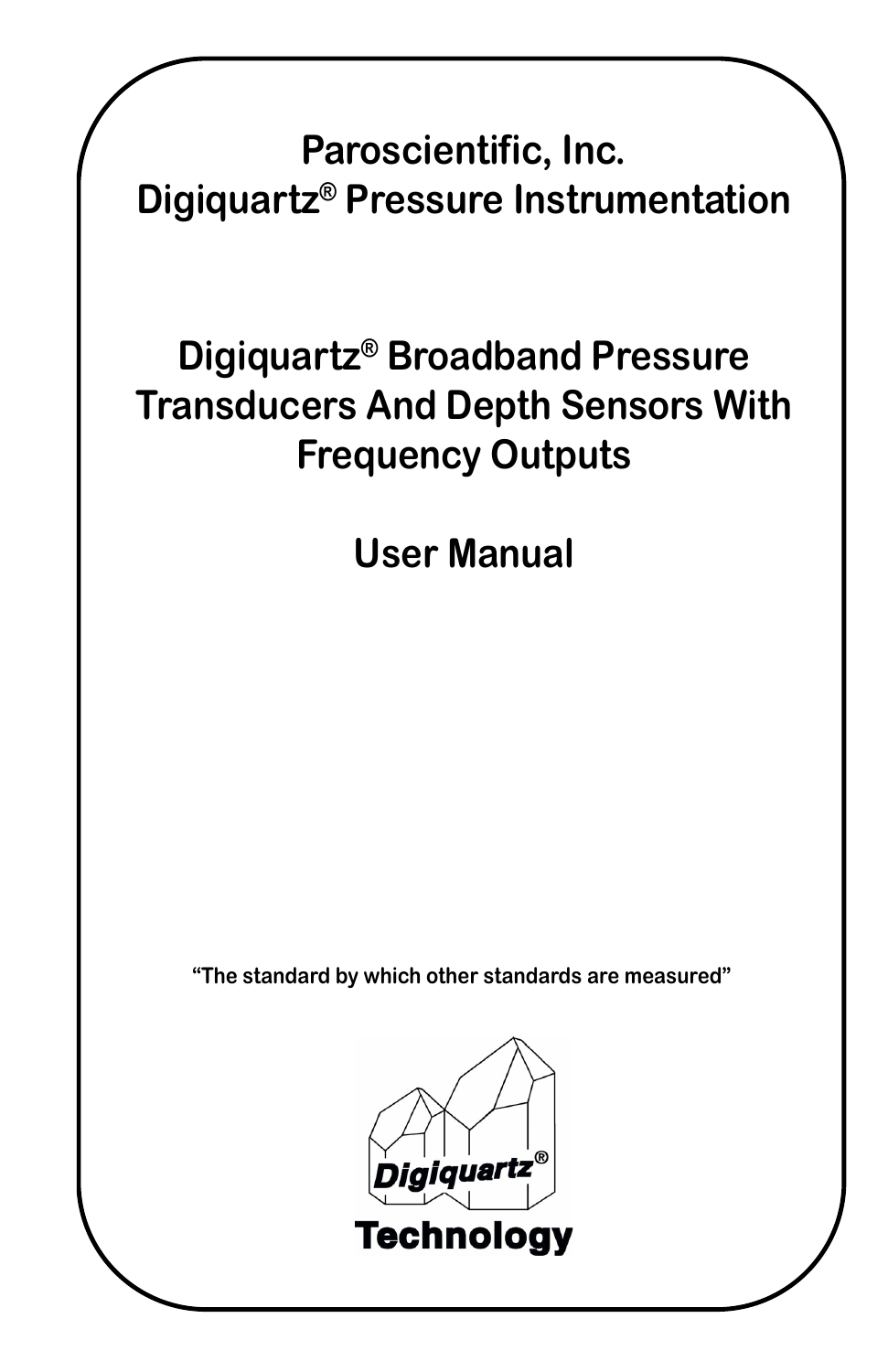**Paroscientific, Inc. Digiquartz® Pressure Instrumentation**

# **Digiquartz® Broadband Pressure Transducers And Depth Sensors With Frequency Outputs**

**User Manual**

**"The standard by which other standards are measured"**

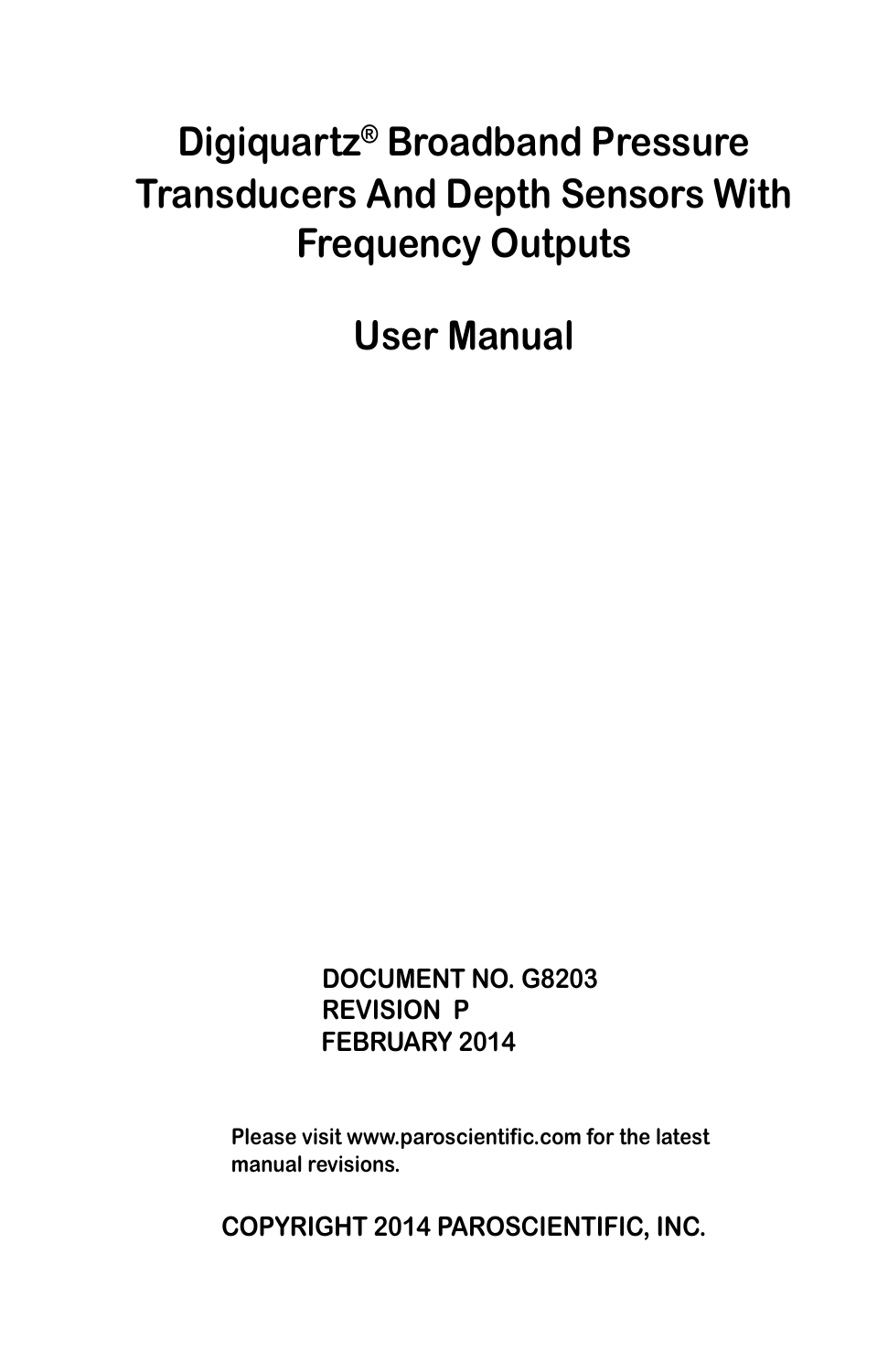# **Digiquartz® Broadband Pressure Transducers And Depth Sensors With Frequency Outputs**

**User Manual**

**DOCUMENT NO. G8203 REVISION P FEBRUARY 2014**

**Please visit www.paroscientific.com for the latest manual revisions.**

**COPYRIGHT 2014 PAROSCIENTIFIC, INC.**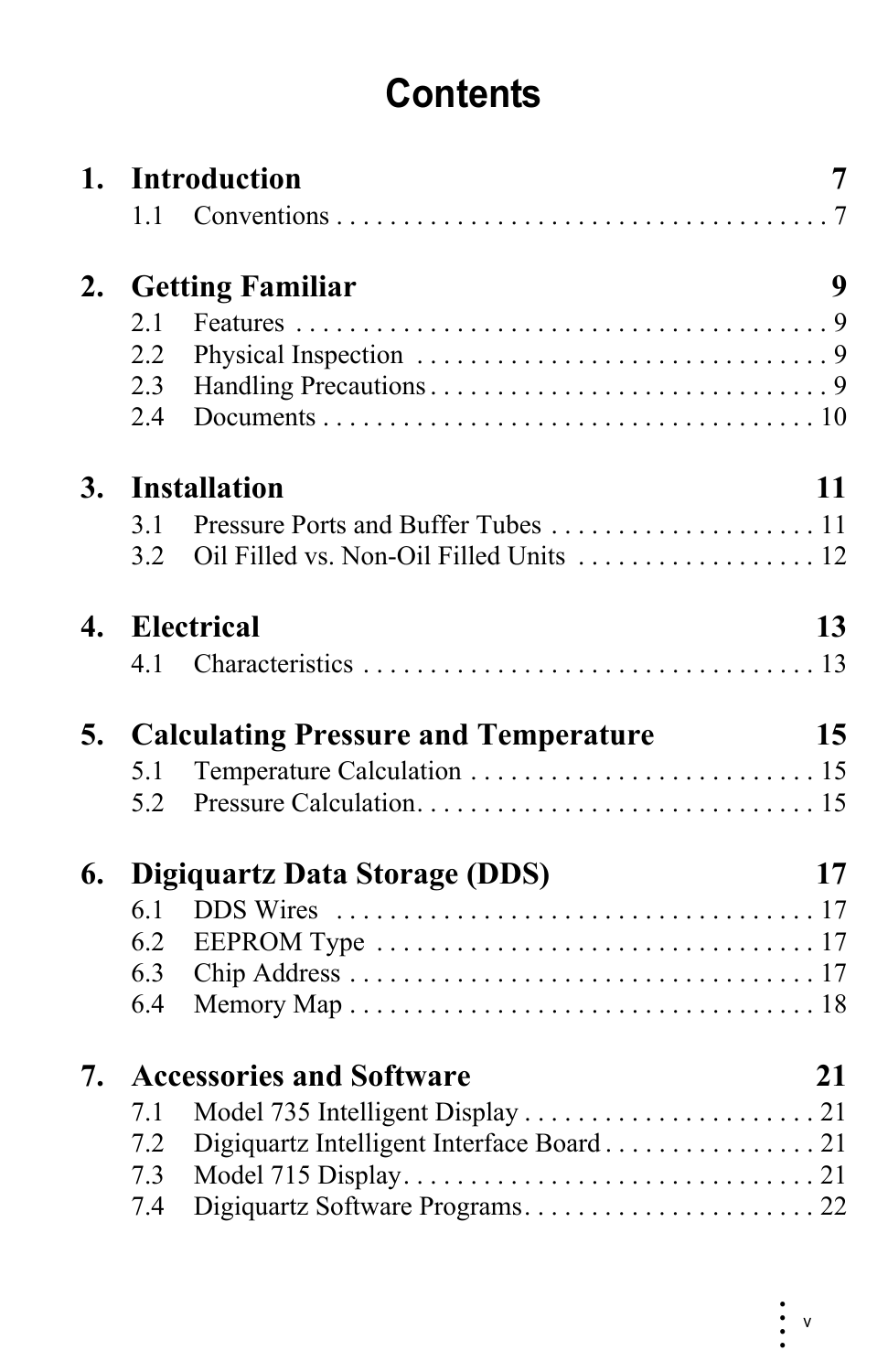# **[Contents](#page-4-0)**

| 1. |     | <b>Introduction</b>                         | 7  |
|----|-----|---------------------------------------------|----|
|    | 11  |                                             |    |
| 2. |     | <b>Getting Familiar</b>                     | 9  |
|    | 2.1 |                                             |    |
|    | 2.2 |                                             |    |
|    | 2.3 |                                             |    |
|    | 2.4 |                                             |    |
| 3. |     | <b>Installation</b>                         | 11 |
|    | 3.1 |                                             |    |
|    | 3.2 | Oil Filled vs. Non-Oil Filled Units  12     |    |
| 4. |     | <b>Electrical</b>                           | 13 |
|    | 4.1 |                                             |    |
| 5. |     | <b>Calculating Pressure and Temperature</b> | 15 |
|    | 5.1 |                                             |    |
|    | 5.2 |                                             |    |
| 6. |     | Digiquartz Data Storage (DDS)               | 17 |
|    | 6.1 | <b>DDS</b> Wires                            |    |
|    | 6.2 |                                             |    |
|    | 6.3 |                                             |    |
|    | 6.4 |                                             |    |
| 7. |     | <b>Accessories and Software</b>             | 21 |
|    | 7.1 |                                             |    |
|    | 7.2 |                                             |    |
|    | 7.3 |                                             |    |
|    | 7.4 |                                             |    |

 $\mathsf{v}$ • • •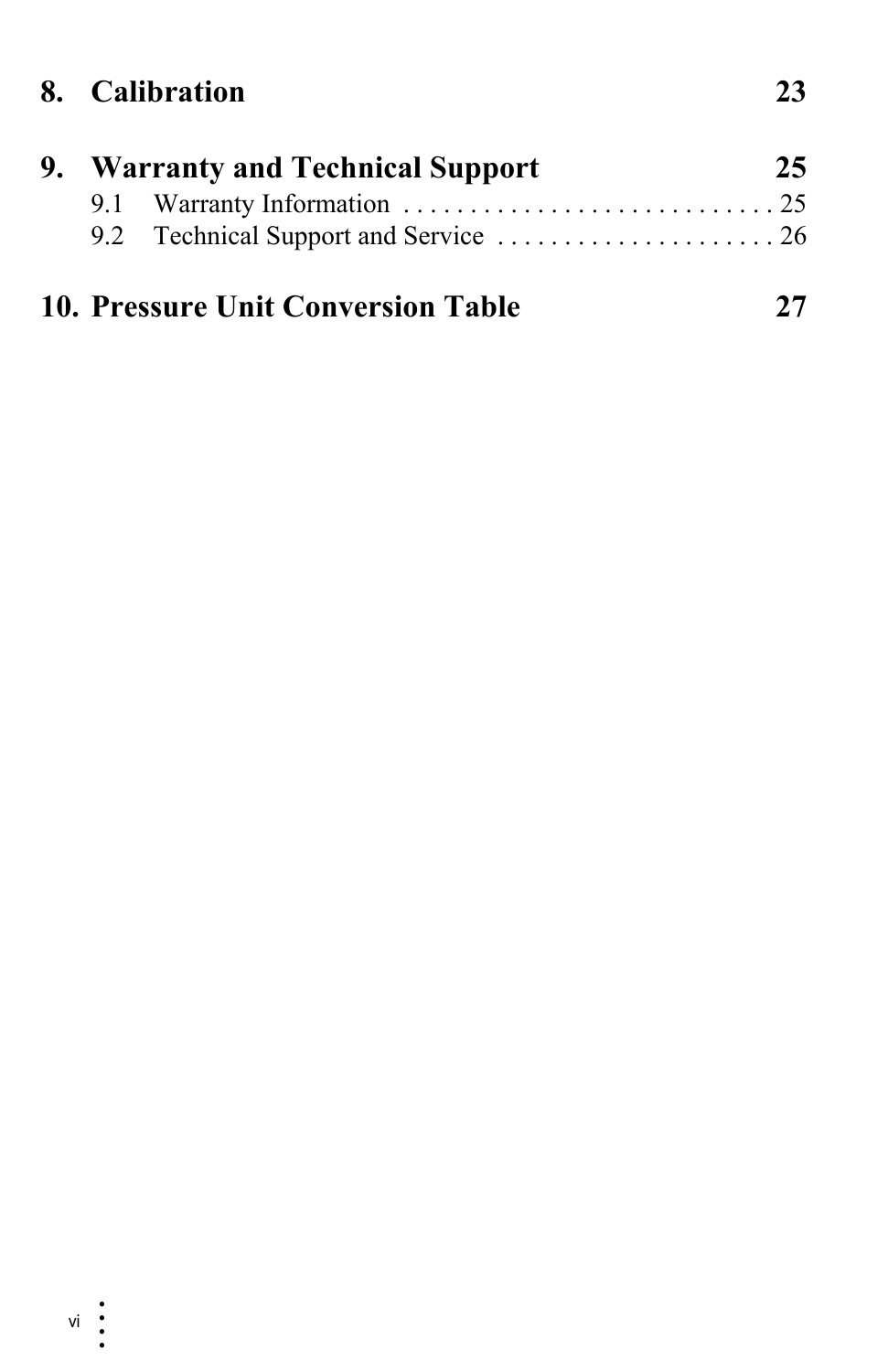|  | 8. Calibration                     | 23 |
|--|------------------------------------|----|
|  | 9. Warranty and Technical Support  | 25 |
|  |                                    |    |
|  |                                    |    |
|  | 10. Pressure Unit Conversion Table |    |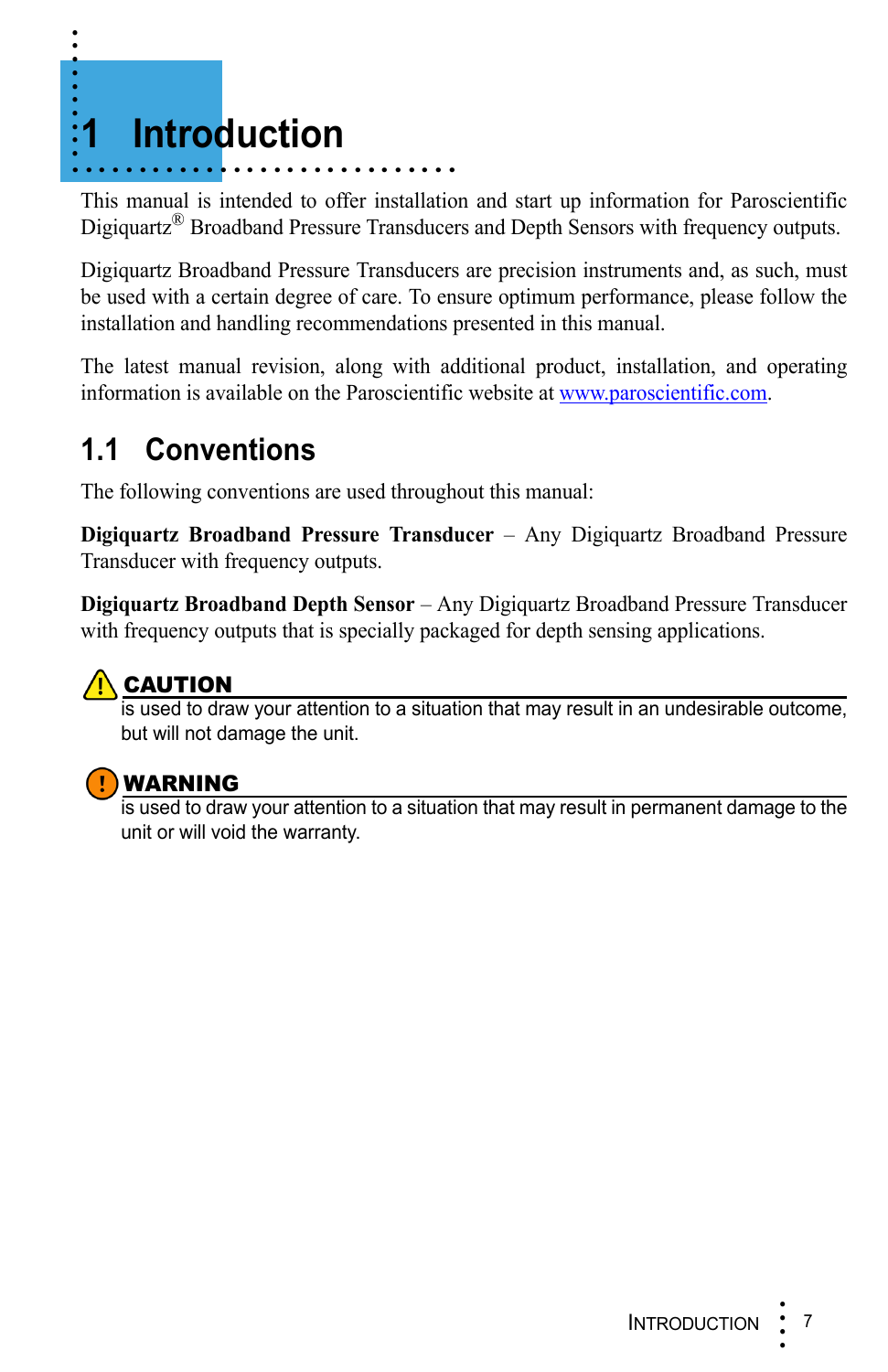

<span id="page-4-0"></span>This manual is intended to offer installation and start up information for Paroscientific Digiquartz® Broadband Pressure Transducers and Depth Sensors with frequency outputs.

• • • •

Digiquartz Broadband Pressure Transducers are precision instruments and, as such, must be used with a certain degree of care. To ensure optimum performance, please follow the installation and handling recommendations presented in this manual.

The latest manual revision, along with additional product, installation, and operating information is available on the Paroscientific website at [www.paroscientific.com](http://www.paroscientific.com).

# <span id="page-4-1"></span>**1.1 Conventions**

The following conventions are used throughout this manual:

**Digiquartz Broadband Pressure Transducer** – Any Digiquartz Broadband Pressure Transducer with frequency outputs.

**Digiquartz Broadband Depth Sensor** – Any Digiquartz Broadband Pressure Transducer with frequency outputs that is specially packaged for depth sensing applications.



is used to draw your attention to a situation that may result in an undesirable outcome, but will not damage the unit.



#### WARNING

is used to draw your attention to a situation that may result in permanent damage to the unit or will void the warranty.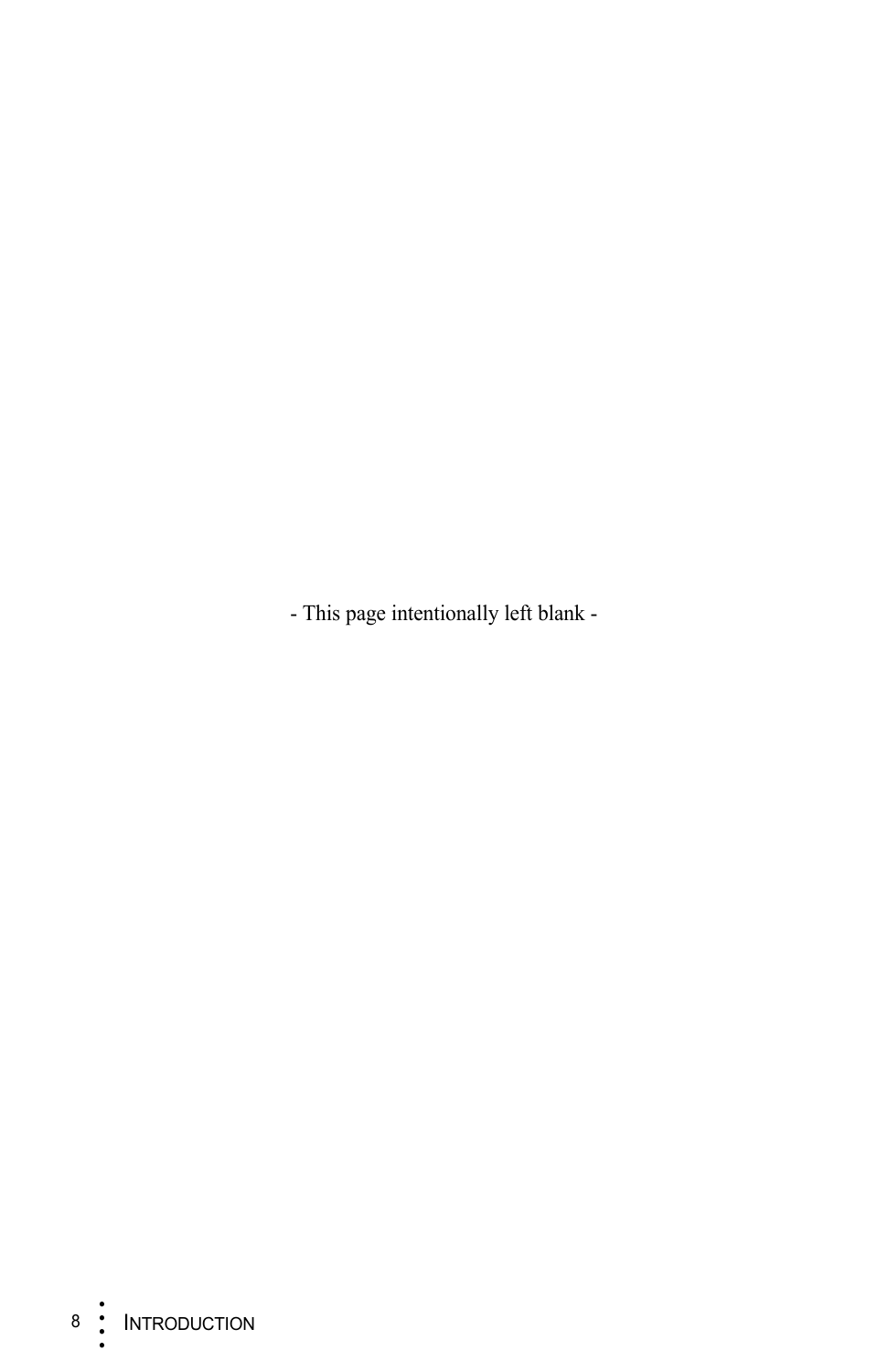- This page intentionally left blank -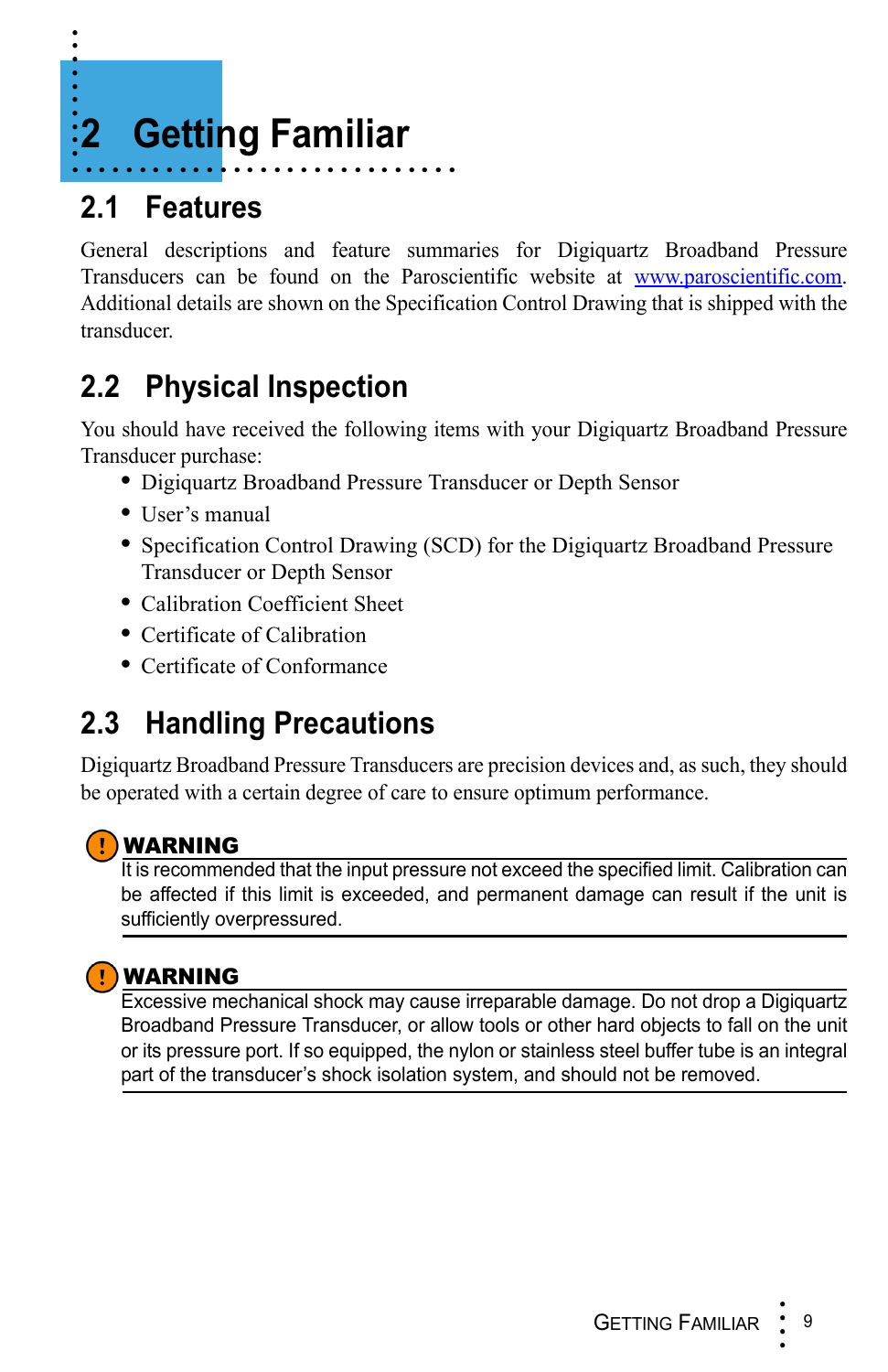# <span id="page-6-1"></span><span id="page-6-0"></span>**2.1 Features**

General descriptions and feature summaries for Digiquartz Broadband Pressure Transducers can be found on the Paroscientific website at [www.paroscientific.com.](http://www.paroscientific.com) Additional details are shown on the Specification Control Drawing that is shipped with the transducer.

• •

# <span id="page-6-2"></span>**2.2 Physical Inspection**

You should have received the following items with your Digiquartz Broadband Pressure Transducer purchase:

- **•** Digiquartz Broadband Pressure Transducer or Depth Sensor
- **•** User's manual
- **•** Specification Control Drawing (SCD) for the Digiquartz Broadband Pressure Transducer or Depth Sensor
- **•** Calibration Coefficient Sheet
- **•** Certificate of Calibration
- **•** Certificate of Conformance

# <span id="page-6-3"></span>**2.3 Handling Precautions**

Digiquartz Broadband Pressure Transducers are precision devices and, as such, they should be operated with a certain degree of care to ensure optimum performance.



## WARNING

It is recommended that the input pressure not exceed the specified limit. Calibration can be affected if this limit is exceeded, and permanent damage can result if the unit is sufficiently overpressured.



## **D** WARNING

Excessive mechanical shock may cause irreparable damage. Do not drop a Digiquartz Broadband Pressure Transducer, or allow tools or other hard objects to fall on the unit or its pressure port. If so equipped, the nylon or stainless steel buffer tube is an integral part of the transducer's shock isolation system, and should not be removed.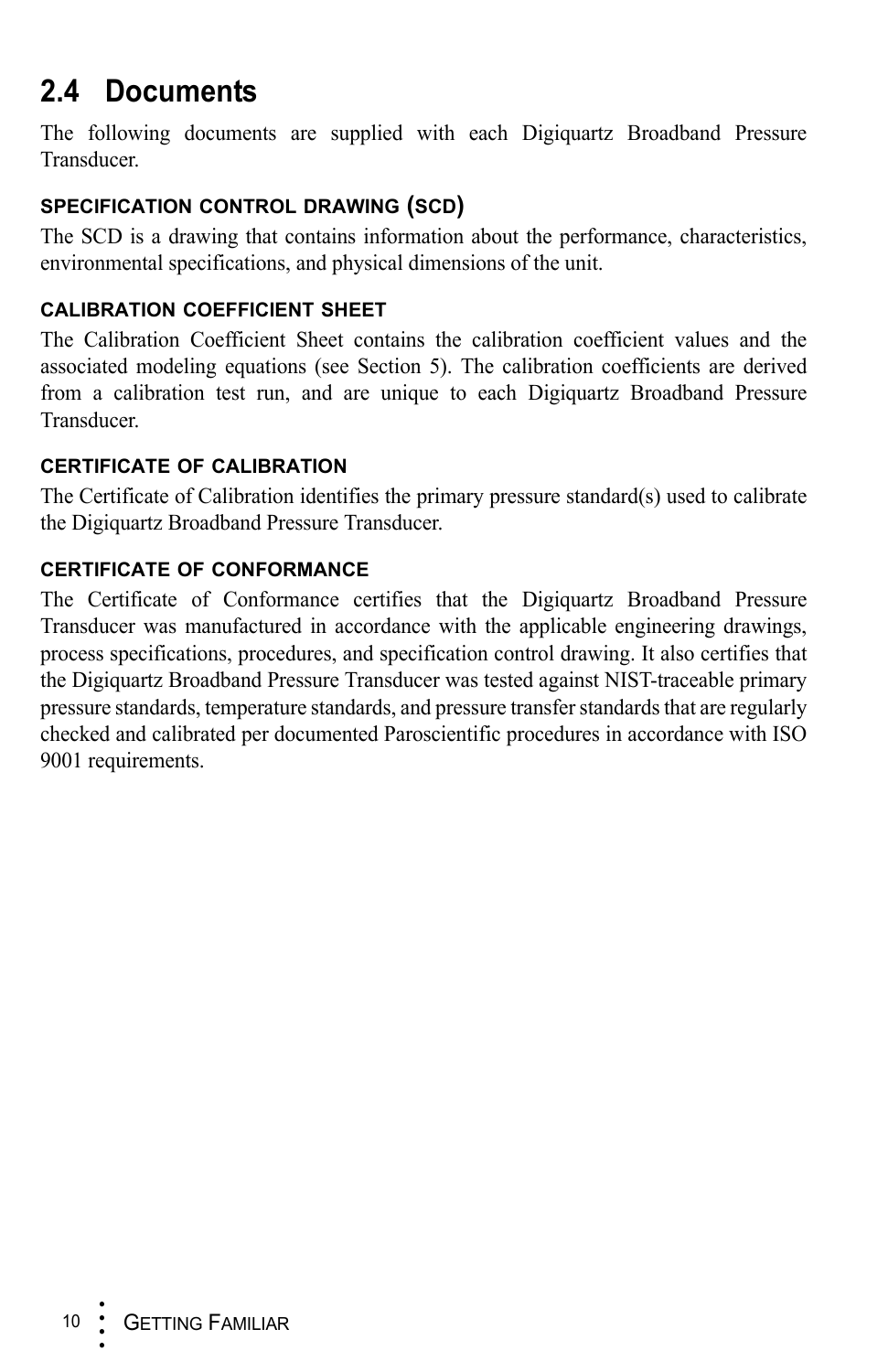# <span id="page-7-0"></span>**2.4 Documents**

The following documents are supplied with each Digiquartz Broadband Pressure Transducer.

#### **SPECIFICATION CONTROL DRAWING (SCD)**

The SCD is a drawing that contains information about the performance, characteristics, environmental specifications, and physical dimensions of the unit.

#### **CALIBRATION COEFFICIENT SHEET**

The Calibration Coefficient Sheet contains the calibration coefficient values and the associated modeling equations (see [Section 5](#page-12-3)). The calibration coefficients are derived from a calibration test run, and are unique to each Digiquartz Broadband Pressure **Transducer** 

#### **CERTIFICATE OF CALIBRATION**

The Certificate of Calibration identifies the primary pressure standard(s) used to calibrate the Digiquartz Broadband Pressure Transducer.

#### **CERTIFICATE OF CONFORMANCE**

The Certificate of Conformance certifies that the Digiquartz Broadband Pressure Transducer was manufactured in accordance with the applicable engineering drawings, process specifications, procedures, and specification control drawing. It also certifies that the Digiquartz Broadband Pressure Transducer was tested against NIST-traceable primary pressure standards, temperature standards, and pressure transfer standards that are regularly checked and calibrated per documented Paroscientific procedures in accordance with ISO 9001 requirements.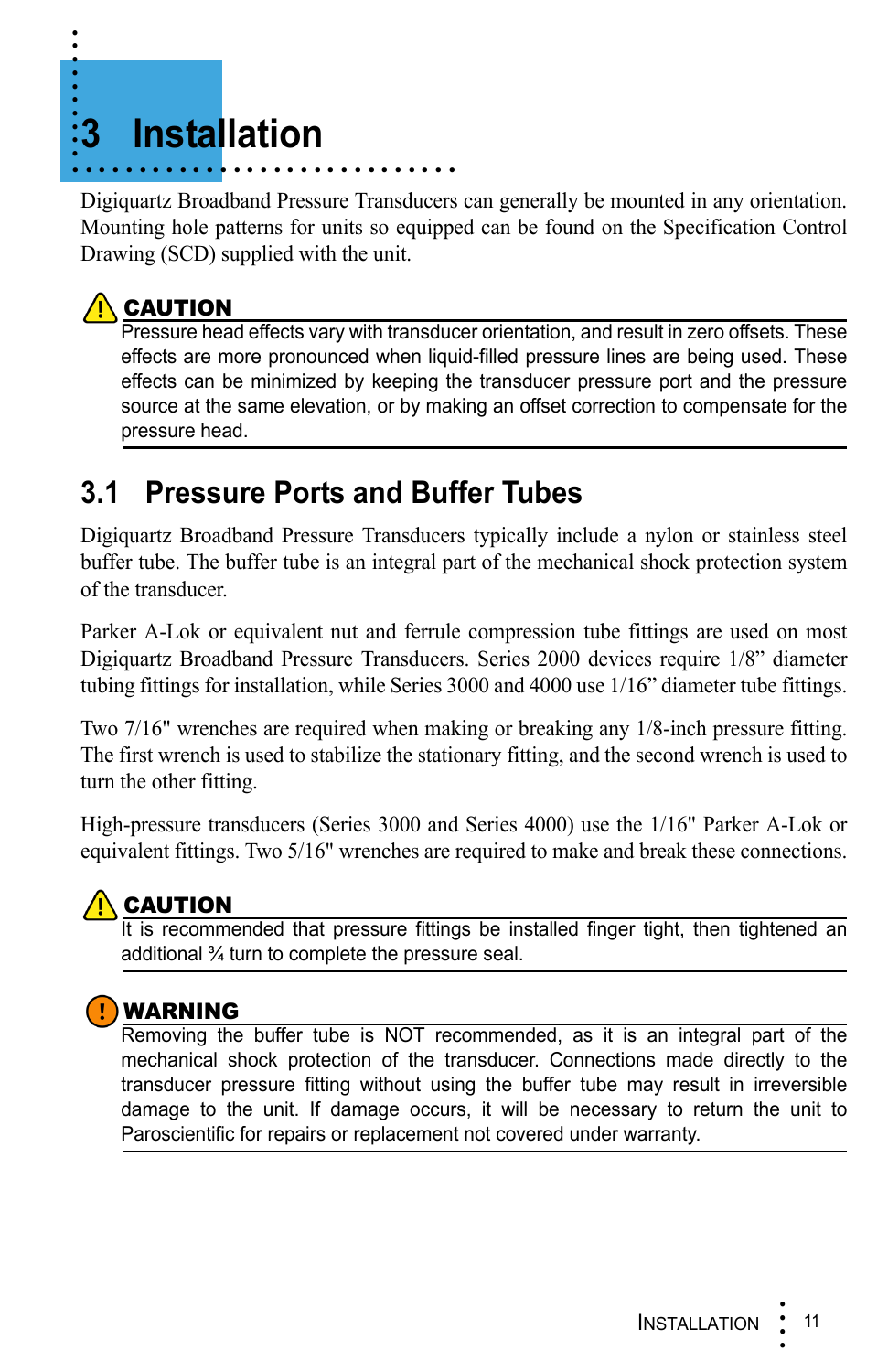#### <span id="page-8-0"></span>• • • • • • **3 Installation**

Digiquartz Broadband Pressure Transducers can generally be mounted in any orientation. Mounting hole patterns for units so equipped can be found on the Specification Control Drawing (SCD) supplied with the unit.

# **IN** CAUTION

• • • • • • • • • • • • • • • • • • • • • • • • • • • • •

• • • •

> Pressure head effects vary with transducer orientation, and result in zero offsets. These effects are more pronounced when liquid-filled pressure lines are being used. These effects can be minimized by keeping the transducer pressure port and the pressure source at the same elevation, or by making an offset correction to compensate for the pressure head.

# <span id="page-8-1"></span>**3.1 Pressure Ports and Buffer Tubes**

Digiquartz Broadband Pressure Transducers typically include a nylon or stainless steel buffer tube. The buffer tube is an integral part of the mechanical shock protection system of the transducer.

Parker A-Lok or equivalent nut and ferrule compression tube fittings are used on most Digiquartz Broadband Pressure Transducers. Series 2000 devices require 1/8" diameter tubing fittings for installation, while Series 3000 and 4000 use 1/16" diameter tube fittings.

Two 7/16" wrenches are required when making or breaking any 1/8-inch pressure fitting. The first wrench is used to stabilize the stationary fitting, and the second wrench is used to turn the other fitting.

High-pressure transducers (Series 3000 and Series 4000) use the 1/16" Parker A-Lok or equivalent fittings. Two 5/16" wrenches are required to make and break these connections.



It is recommended that pressure fittings be installed finger tight, then tightened an additional ¾ turn to complete the pressure seal.



#### WARNING

Removing the buffer tube is NOT recommended, as it is an integral part of the mechanical shock protection of the transducer. Connections made directly to the transducer pressure fitting without using the buffer tube may result in irreversible damage to the unit. If damage occurs, it will be necessary to return the unit to Paroscientific for repairs or replacement not covered under warranty.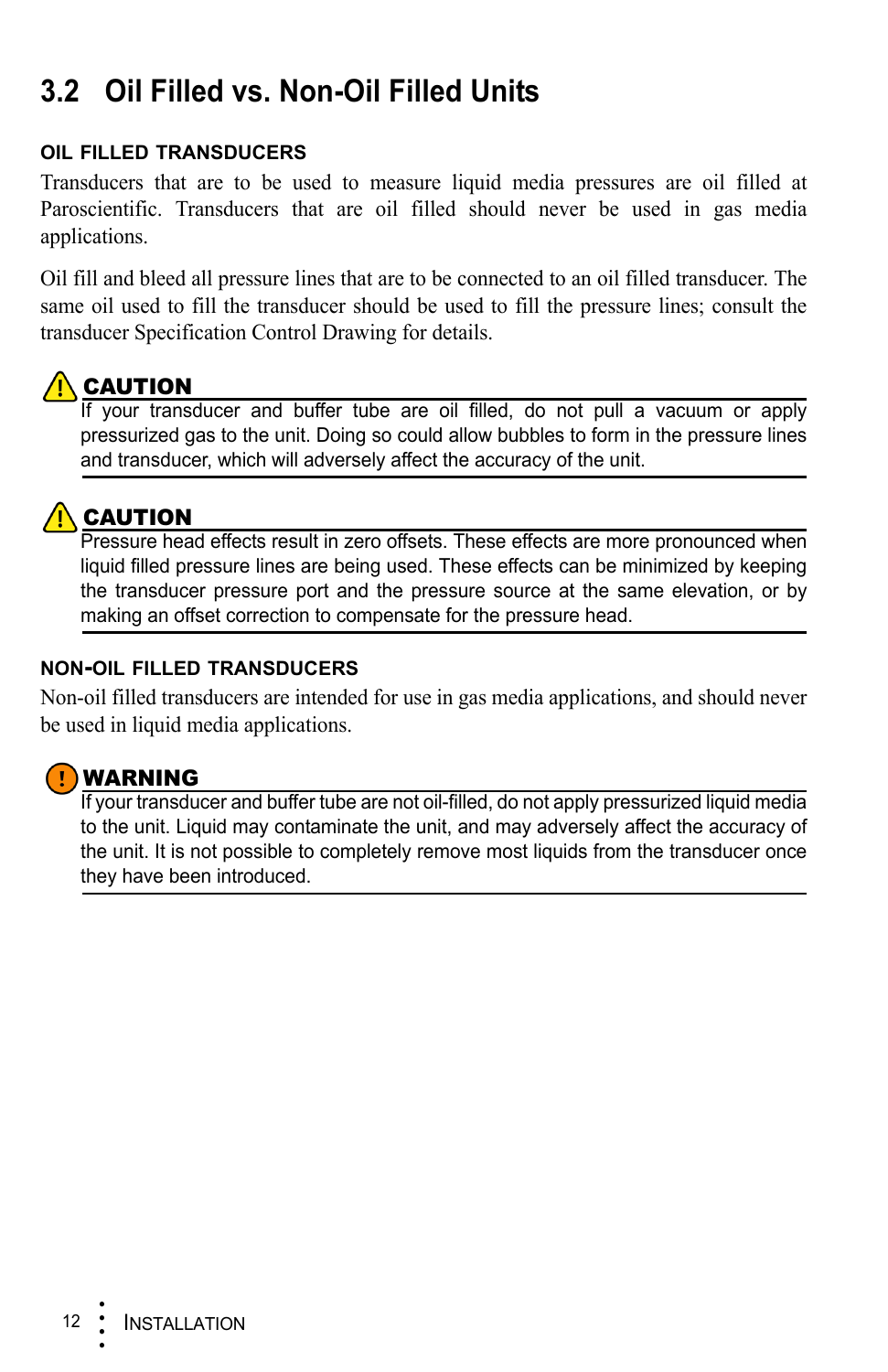# <span id="page-9-0"></span>**3.2 Oil Filled vs. Non-Oil Filled Units**

#### **OIL FILLED TRANSDUCERS**

Transducers that are to be used to measure liquid media pressures are oil filled at Paroscientific. Transducers that are oil filled should never be used in gas media applications.

Oil fill and bleed all pressure lines that are to be connected to an oil filled transducer. The same oil used to fill the transducer should be used to fill the pressure lines; consult the transducer Specification Control Drawing for details.



#### $\sqrt{N}$  caution

If your transducer and buffer tube are oil filled, do not pull a vacuum or apply pressurized gas to the unit. Doing so could allow bubbles to form in the pressure lines and transducer, which will adversely affect the accuracy of the unit.



#### **CAUTION**

Pressure head effects result in zero offsets. These effects are more pronounced when liquid filled pressure lines are being used. These effects can be minimized by keeping the transducer pressure port and the pressure source at the same elevation, or by making an offset correction to compensate for the pressure head.

#### **NON-OIL FILLED TRANSDUCERS**

Non-oil filled transducers are intended for use in gas media applications, and should never be used in liquid media applications.



## WARNING

If your transducer and buffer tube are not oil-filled, do not apply pressurized liquid media to the unit. Liquid may contaminate the unit, and may adversely affect the accuracy of the unit. It is not possible to completely remove most liquids from the transducer once they have been introduced.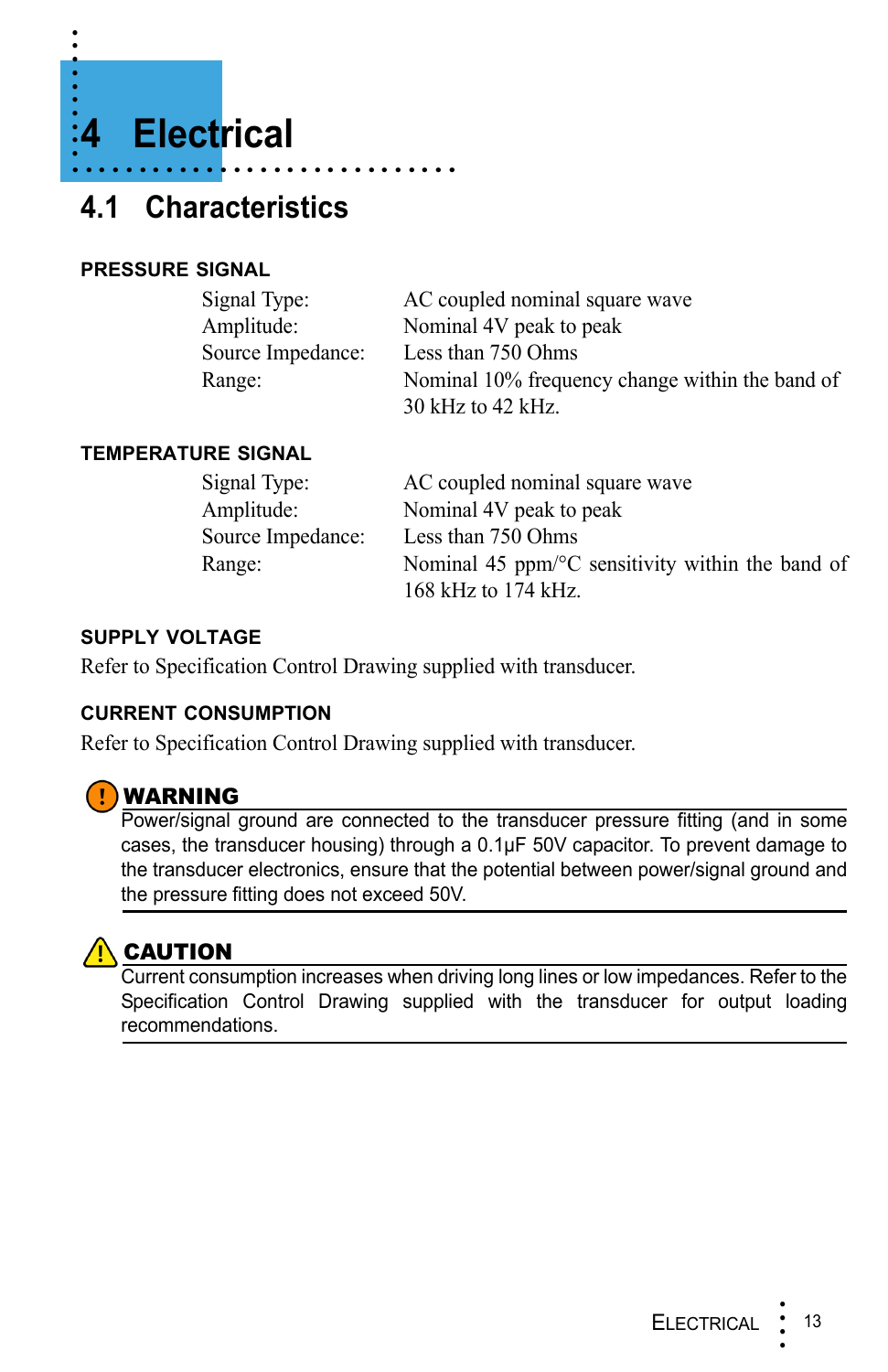

# <span id="page-10-1"></span><span id="page-10-0"></span>**4.1 Characteristics**

• • • • • • • • • • • •

#### **PRESSURE SIGNAL**

| Signal Type:      | AC coupled nominal square wave                  |
|-------------------|-------------------------------------------------|
| Amplitude:        | Nominal 4V peak to peak                         |
| Source Impedance: | Less than 750 Ohms                              |
| Range:            | Nominal 10% frequency change within the band of |
|                   | 30 kHz to 42 kHz.                               |

#### **TEMPERATURE SIGNAL**

| Signal Type:      | AC coupled nominal square wave                                 |
|-------------------|----------------------------------------------------------------|
| Amplitude:        | Nominal 4V peak to peak                                        |
| Source Impedance: | Less than 750 Ohms                                             |
| Range:            | Nominal 45 ppm/ $\rm ^{\circ}C$ sensitivity within the band of |
|                   | 168 kHz to 174 kHz.                                            |

#### **SUPPLY VOLTAGE**

Refer to Specification Control Drawing supplied with transducer.

#### **CURRENT CONSUMPTION**

Refer to Specification Control Drawing supplied with transducer.



Power/signal ground are connected to the transducer pressure fitting (and in some cases, the transducer housing) through a 0.1µF 50V capacitor. To prevent damage to the transducer electronics, ensure that the potential between power/signal ground and the pressure fitting does not exceed 50V.



Current consumption increases when driving long lines or low impedances. Refer to the Specification Control Drawing supplied with the transducer for output loading recommendations.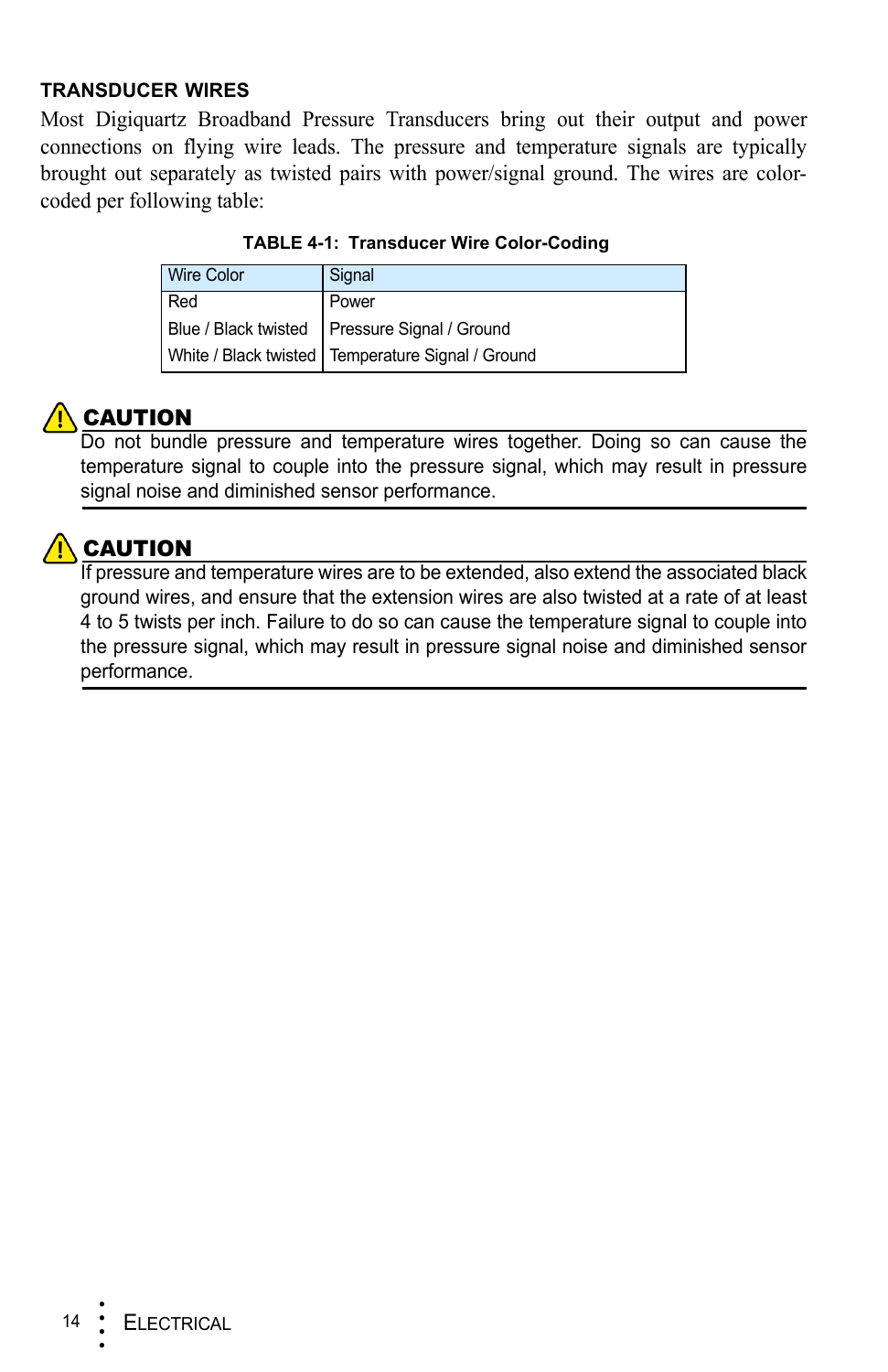#### **TRANSDUCER WIRES**

Most Digiquartz Broadband Pressure Transducers bring out their output and power connections on flying wire leads. The pressure and temperature signals are typically brought out separately as twisted pairs with power/signal ground. The wires are colorcoded per following table:

| <b>Wire Color</b> | Signal                                              |
|-------------------|-----------------------------------------------------|
| Red               | Power                                               |
|                   | Blue / Black twisted   Pressure Signal / Ground     |
|                   | White / Black twisted   Temperature Signal / Ground |



## CAUTION

Do not bundle pressure and temperature wires together. Doing so can cause the temperature signal to couple into the pressure signal, which may result in pressure signal noise and diminished sensor performance.



#### **CAUTION**

If pressure and temperature wires are to be extended, also extend the associated black ground wires, and ensure that the extension wires are also twisted at a rate of at least 4 to 5 twists per inch. Failure to do so can cause the temperature signal to couple into the pressure signal, which may result in pressure signal noise and diminished sensor performance.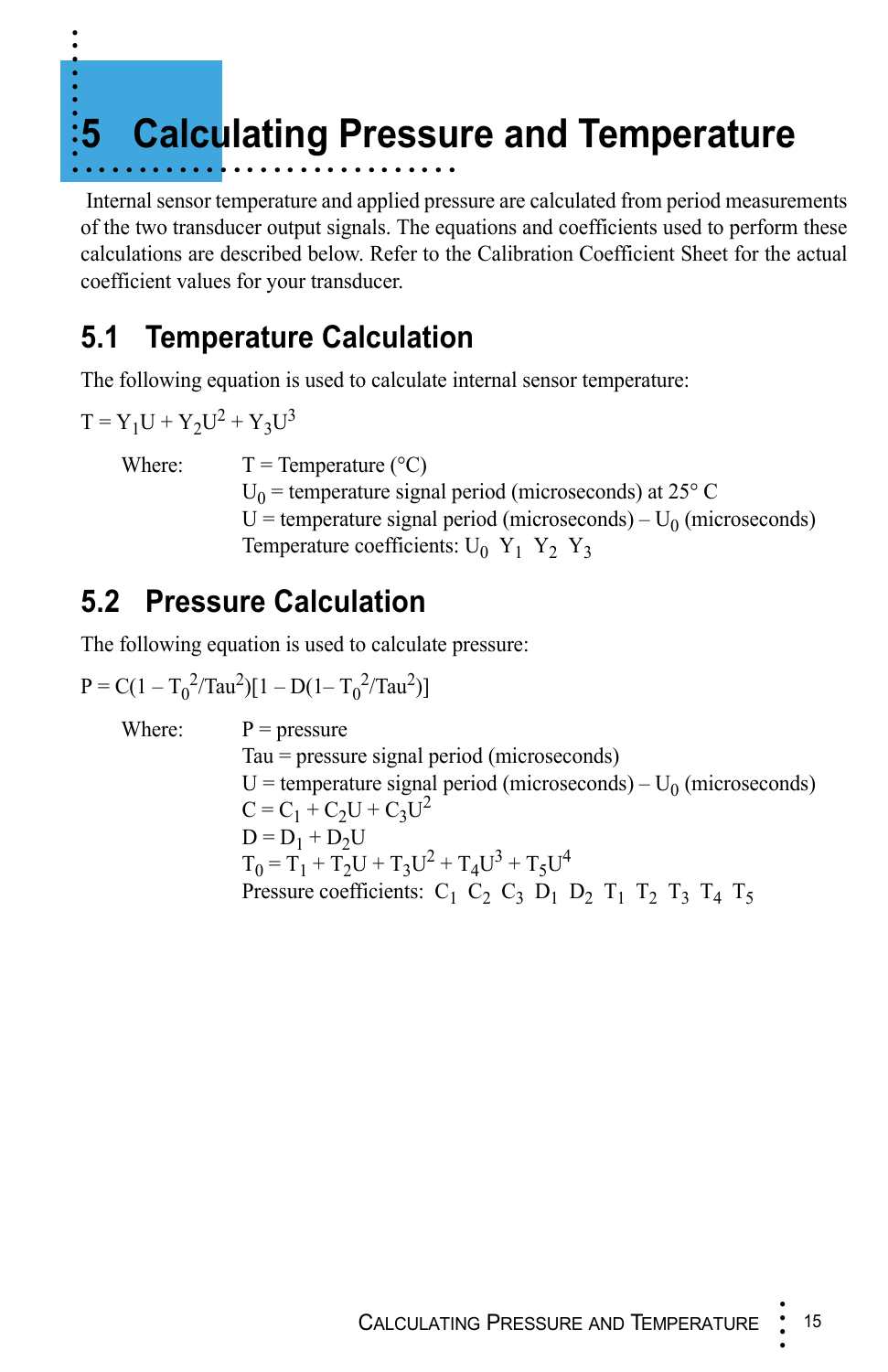#### <span id="page-12-3"></span><span id="page-12-0"></span>• • • • • • **5 Calculating Pressure and Temperature**

Internal sensor temperature and applied pressure are calculated from period measurements of the two transducer output signals. The equations and coefficients used to perform these calculations are described below. Refer to the Calibration Coefficient Sheet for the actual coefficient values for your transducer.

# <span id="page-12-1"></span>**5.1 Temperature Calculation**

The following equation is used to calculate internal sensor temperature:

$$
T = Y_1 U + Y_2 U^2 + Y_3 U^3
$$

• • • • • • • • • • • • • • • • • • • • • • • • • • • • •

• • • •

> Where:  $T = Temperature (°C)$  $U_0$  = temperature signal period (microseconds) at 25 $\degree$  C  $U =$  temperature signal period (microseconds) –  $U_0$  (microseconds) Temperature coefficients:  $U_0$  Y<sub>1</sub> Y<sub>2</sub> Y<sub>3</sub>

# <span id="page-12-2"></span>**5.2 Pressure Calculation**

The following equation is used to calculate pressure:

 $P = C(1 - T_0^2/Tau^2)[1 - D(1 - T_0^2/Tau^2)]$ 

Where:  $P = pressure$ Tau = pressure signal period (microseconds)  $U =$  temperature signal period (microseconds) –  $U_0$  (microseconds)  $C = C_1 + C_2U + C_3U^2$  $D = D_1 + D_2U$  $T_0 = T_1 + T_2 U + T_3 U^2 + T_4 U^3 + T_5 U^4$ Pressure coefficients:  $C_1$   $C_2$   $C_3$   $D_1$   $D_2$   $T_1$   $T_2$   $T_3$   $T_4$   $T_5$ 

•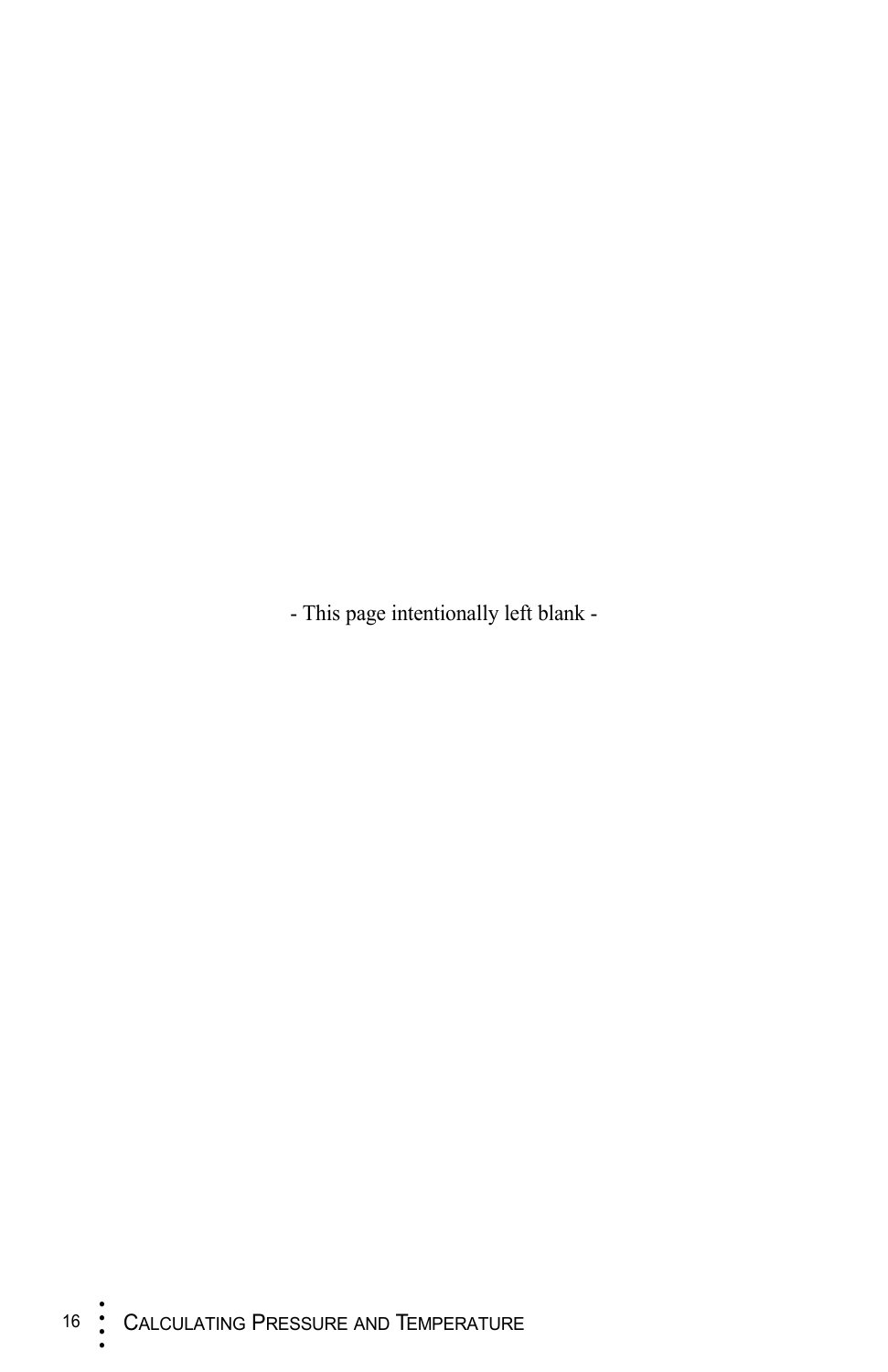- This page intentionally left blank -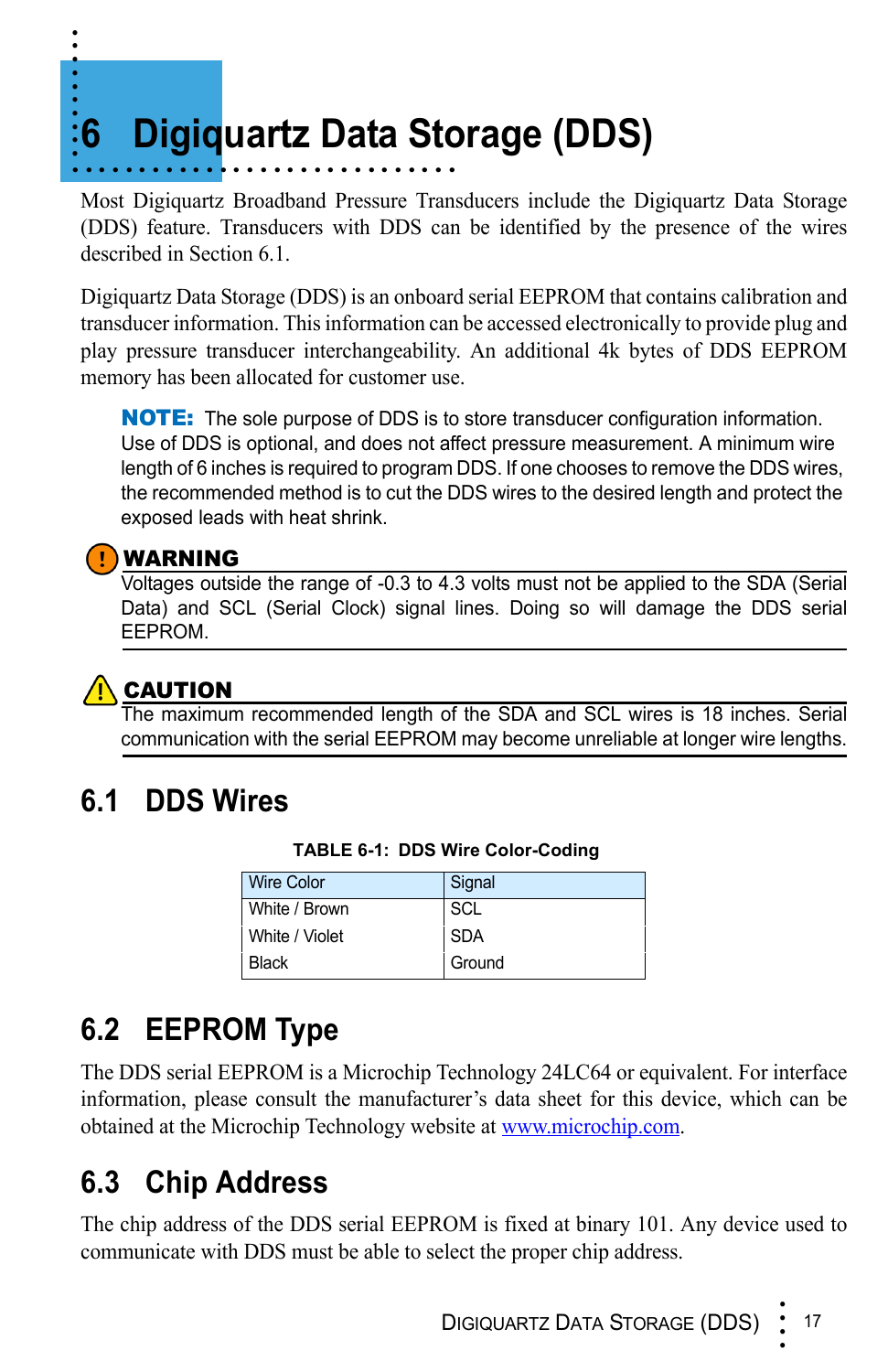#### <span id="page-14-0"></span>• • • • • • • **6 Digiquartz Data Storage (DDS)**

• • • • • •

Most Digiquartz Broadband Pressure Transducers include the Digiquartz Data Storage (DDS) feature. Transducers with DDS can be identified by the presence of the wires described in [Section 6.1](#page-14-1).

Digiquartz Data Storage (DDS) is an onboard serial EEPROM that contains calibration and transducer information. This information can be accessed electronically to provide plug and play pressure transducer interchangeability. An additional 4k bytes of DDS EEPROM memory has been allocated for customer use.

**NOTE:** The sole purpose of DDS is to store transducer configuration information. Use of DDS is optional, and does not affect pressure measurement. A minimum wire length of 6 inches is required to program DDS. If one chooses to remove the DDS wires, the recommended method is to cut the DDS wires to the desired length and protect the exposed leads with heat shrink.



• • • • • • • • • • • • • • • • • • • • •

• • • • •

#### WARNING

Voltages outside the range of -0.3 to 4.3 volts must not be applied to the SDA (Serial Data) and SCL (Serial Clock) signal lines. Doing so will damage the DDS serial EEPROM.

# CAUTION

The maximum recommended length of the SDA and SCL wires is 18 inches. Serial communication with the serial EEPROM may become unreliable at longer wire lengths.

# <span id="page-14-1"></span>**6.1 DDS Wires**

| <b>Wire Color</b> | Signal     |
|-------------------|------------|
| White / Brown     | SCL        |
| White / Violet    | <b>SDA</b> |
| <b>Black</b>      | Ground     |

 **TABLE 6-1: DDS Wire Color-Coding**

# <span id="page-14-2"></span>**6.2 EEPROM Type**

The DDS serial EEPROM is a Microchip Technology 24LC64 or equivalent. For interface information, please consult the manufacturer's data sheet for this device, which can be obtained at the Microchip Technology website at [www.microchip.com](http://www.microchip.com).

# <span id="page-14-3"></span>**6.3 Chip Address**

The chip address of the DDS serial EEPROM is fixed at binary 101. Any device used to communicate with DDS must be able to select the proper chip address.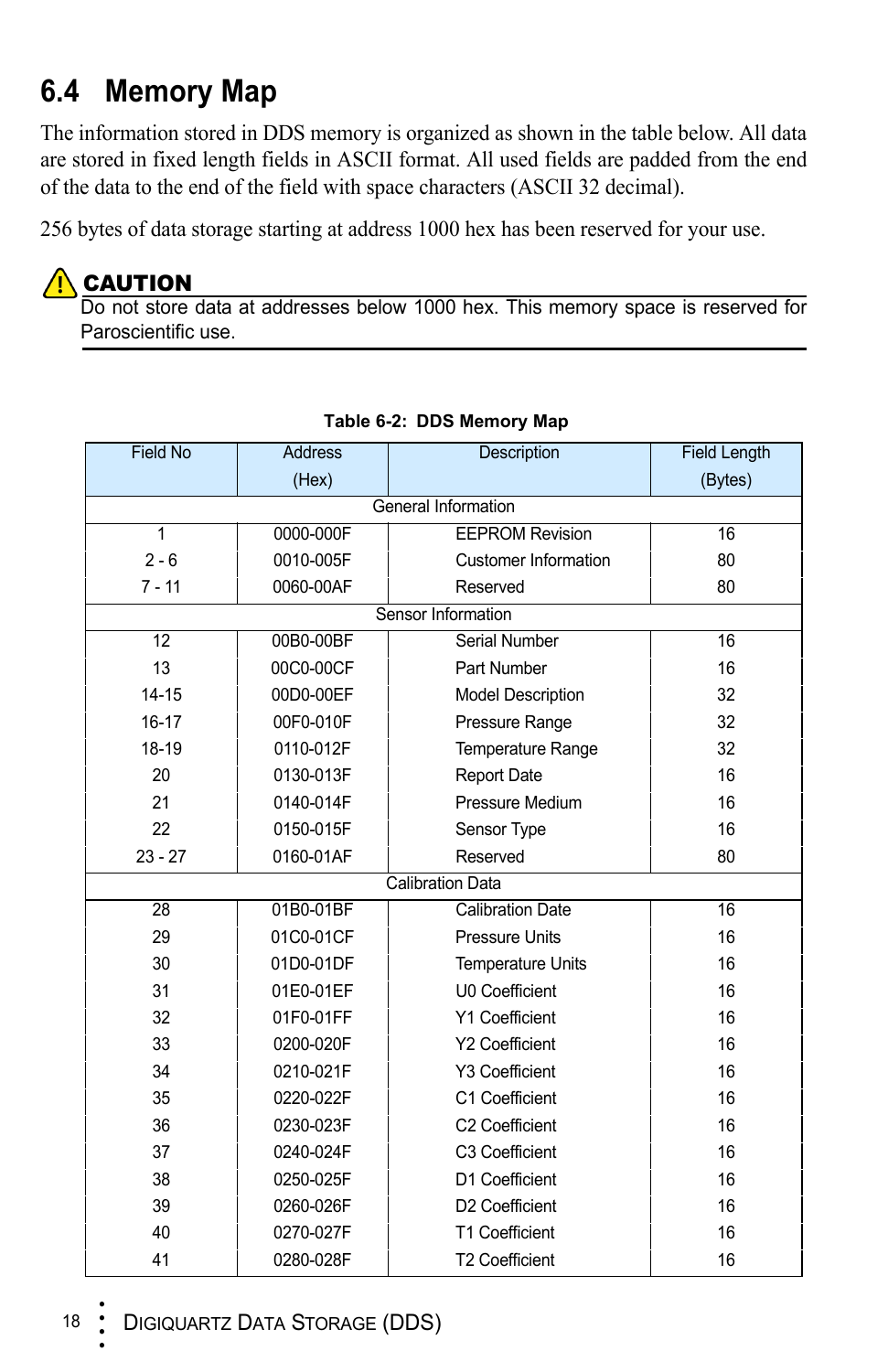# <span id="page-15-0"></span>**6.4 Memory Map**

The information stored in DDS memory is organized as shown in the table below. All data are stored in fixed length fields in ASCII format. All used fields are padded from the end of the data to the end of the field with space characters (ASCII 32 decimal).

256 bytes of data storage starting at address 1000 hex has been reserved for your use.



Do not store data at addresses below 1000 hex. This memory space is reserved for Paroscientific use.

| <b>Field No</b> | <b>Address</b> | Description                 | <b>Field Length</b> |
|-----------------|----------------|-----------------------------|---------------------|
|                 | (Hex)          |                             | (Bytes)             |
|                 |                | General Information         |                     |
| 1               | 0000-000F      | <b>EEPROM Revision</b>      | 16                  |
| $2 - 6$         | 0010-005F      | <b>Customer Information</b> | 80                  |
| $7 - 11$        | 0060-00AF      | Reserved                    | 80                  |
|                 |                | Sensor Information          |                     |
| $\overline{12}$ | 00B0-00BF      | <b>Serial Number</b>        | 16                  |
| 13              | 00C0-00CF      | Part Number                 | 16                  |
| $14 - 15$       | 00D0-00EF      | <b>Model Description</b>    | 32                  |
| $16 - 17$       | 00F0-010F      | Pressure Range              | 32                  |
| $18 - 19$       | 0110-012F      | Temperature Range           | 32                  |
| 20              | 0130-013F      | <b>Report Date</b>          | 16                  |
| 21              | 0140-014F      | Pressure Medium             | 16                  |
| 22              | 0150-015F      | Sensor Type                 | 16                  |
| $23 - 27$       | 0160-01AF      | Reserved                    | 80                  |
|                 |                | <b>Calibration Data</b>     |                     |
| 28              | 01B0-01BF      | <b>Calibration Date</b>     | 16                  |
| 29              | 01C0-01CF      | <b>Pressure Units</b>       | 16                  |
| 30              | 01D0-01DF      | <b>Temperature Units</b>    | 16                  |
| 31              | 01E0-01EF      | U0 Coefficient              | 16                  |
| 32              | 01F0-01FF      | Y1 Coefficient              | 16                  |
| 33              | 0200-020F      | <b>Y2 Coefficient</b>       | 16                  |
| 34              | 0210-021F      | <b>Y3 Coefficient</b>       | 16                  |
| 35              | 0220-022F      | C1 Coefficient              | 16                  |
| 36              | 0230-023F      | C2 Coefficient              | 16                  |
| 37              | 0240-024F      | C3 Coefficient              | 16                  |
| 38              | 0250-025F      | D1 Coefficient              | 16                  |
| 39              | 0260-026F      | D2 Coefficient              | 16                  |
| 40              | 0270-027F      | T1 Coefficient              | 16                  |
| 41              | 0280-028F      | <b>T2 Coefficient</b>       | 16                  |

#### **Table 6-2: DDS Memory Map**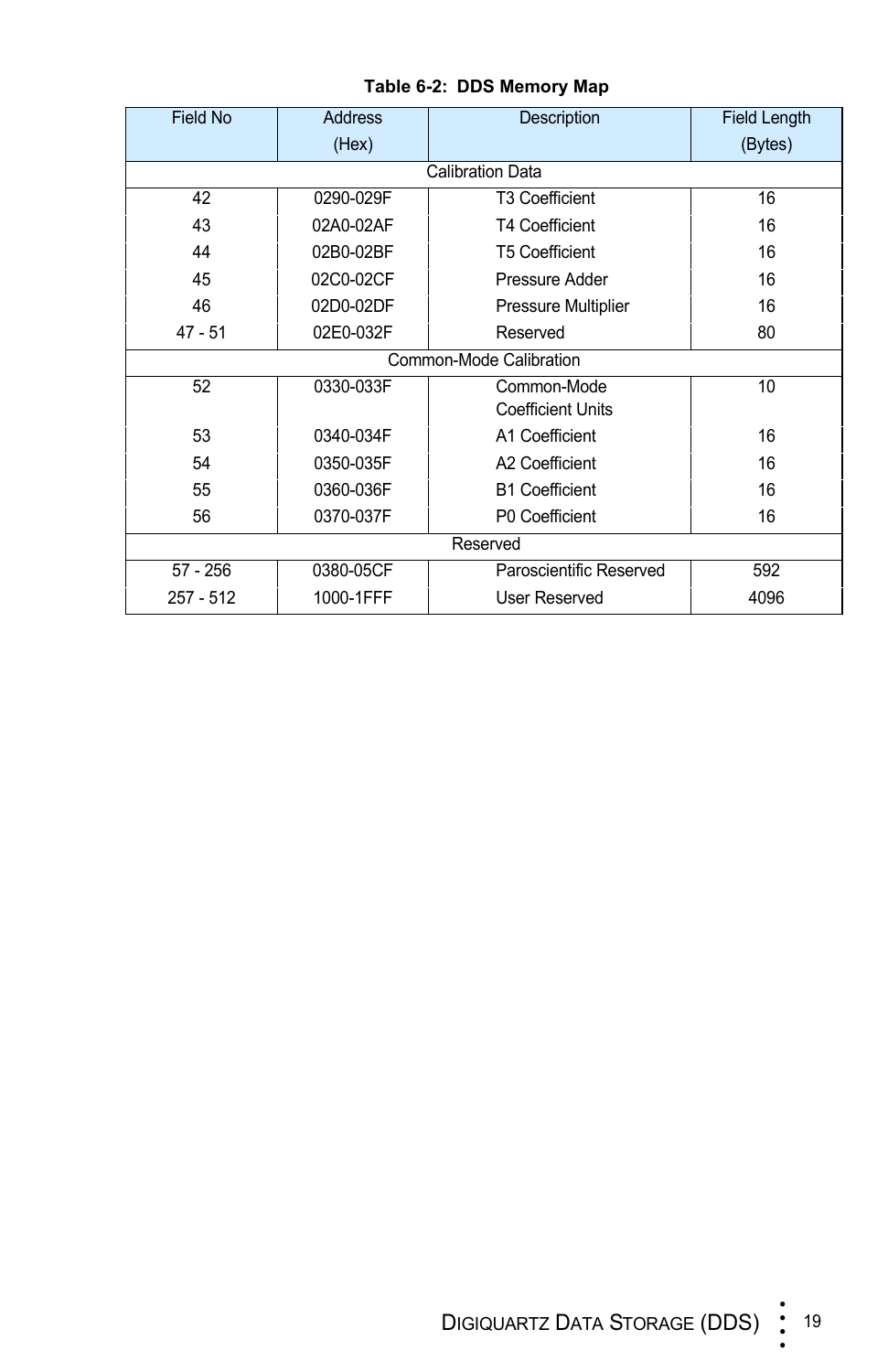| <b>Field No</b> | <b>Address</b> | Description                | <b>Field Length</b> |
|-----------------|----------------|----------------------------|---------------------|
|                 | (Hex)          |                            | (Bytes)             |
|                 |                | <b>Calibration Data</b>    |                     |
| 42              | 0290-029F      | T3 Coefficient             | 16                  |
| 43              | 02A0-02AF      | T4 Coefficient             | 16                  |
| 44              | 02B0-02BF      | <b>T5 Coefficient</b>      | 16                  |
| 45              | 02C0-02CF      | Pressure Adder             | 16                  |
| 46              | 02D0-02DF      | <b>Pressure Multiplier</b> | 16                  |
| $47 - 51$       | 02E0-032F      | Reserved                   | 80                  |
|                 |                | Common-Mode Calibration    |                     |
| 52              | 0330-033F      | Common-Mode                | 10                  |
|                 |                | <b>Coefficient Units</b>   |                     |
| 53              | 0340-034F      | A1 Coefficient             | 16                  |
| 54              | 0350-035F      | A2 Coefficient             | 16                  |
| 55              | 0360-036F      | <b>B1 Coefficient</b>      | 16                  |
| 56              | 0370-037F      | P0 Coefficient             | 16                  |
|                 |                | Reserved                   |                     |
| $57 - 256$      | 0380-05CF      | Paroscientific Reserved    | 592                 |
| $257 - 512$     | 1000-1FFF      | User Reserved              | 4096                |

#### **Table 6-2: DDS Memory Map**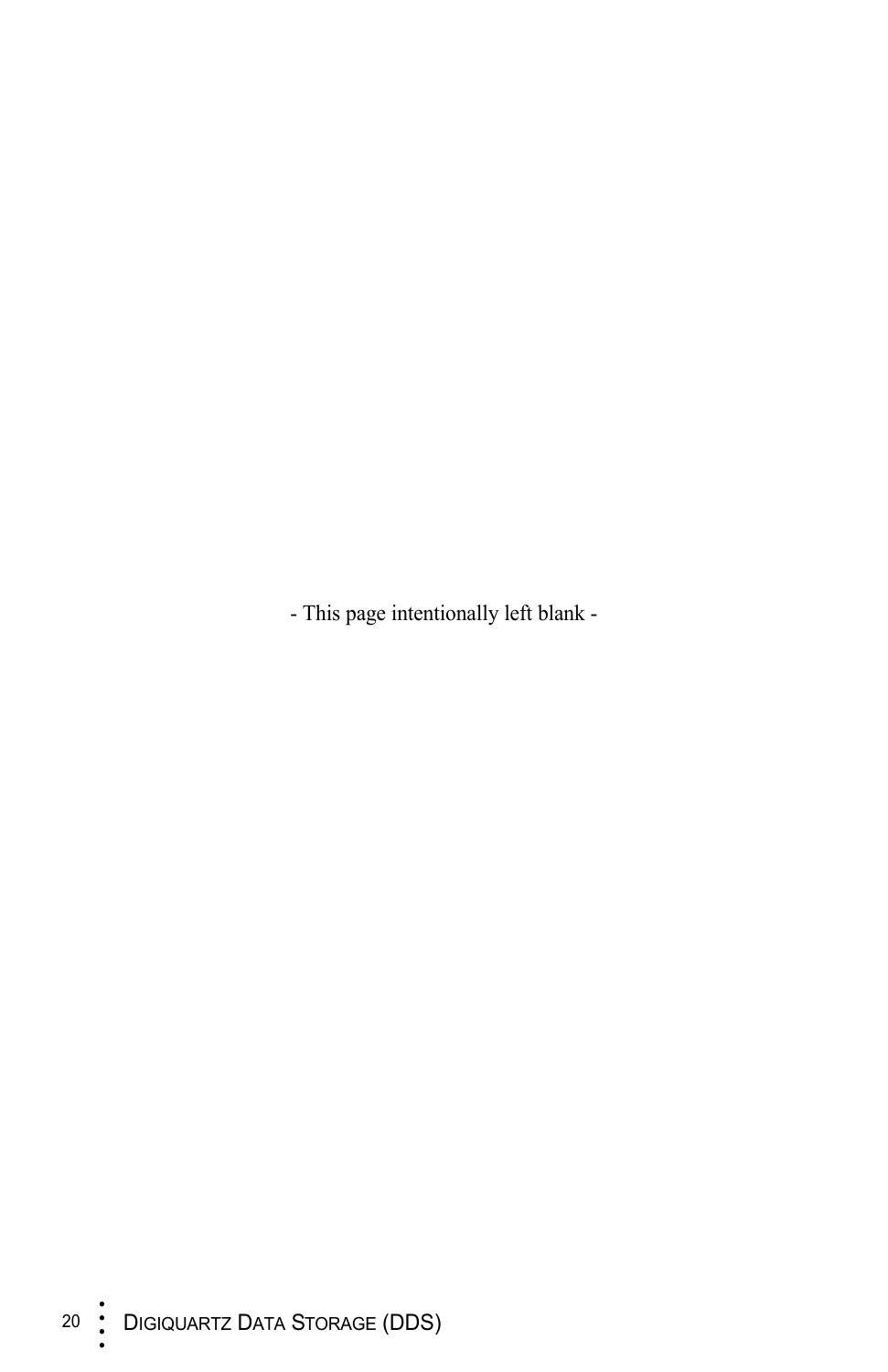- This page intentionally left blank -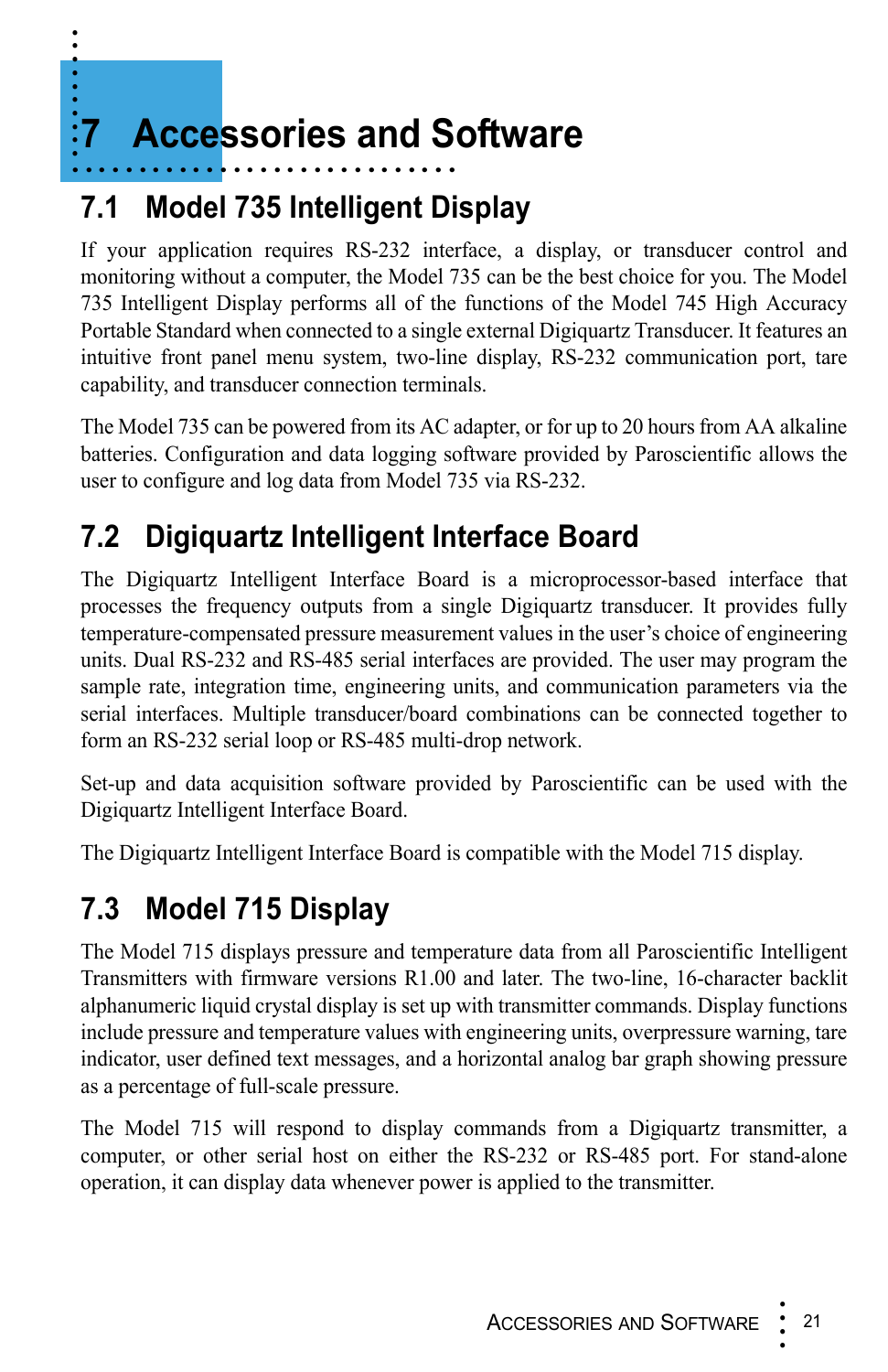#### • • • **7 Accessories and Software**

• • • • • • • • •

#### <span id="page-18-1"></span>• • **7.1 Model 735 Intelligent Display**

• • • • • • • • • • • • • • • • •

• •

• • • •

<span id="page-18-0"></span>• •

> If your application requires RS-232 interface, a display, or transducer control and monitoring without a computer, the Model 735 can be the best choice for you. The Model 735 Intelligent Display performs all of the functions of the Model 745 High Accuracy Portable Standard when connected to a single external Digiquartz Transducer. It features an intuitive front panel menu system, two-line display, RS-232 communication port, tare capability, and transducer connection terminals.

> The Model 735 can be powered from its AC adapter, or for up to 20 hours from AA alkaline batteries. Configuration and data logging software provided by Paroscientific allows the user to configure and log data from Model 735 via RS-232.

# <span id="page-18-2"></span>**7.2 Digiquartz Intelligent Interface Board**

The Digiquartz Intelligent Interface Board is a microprocessor-based interface that processes the frequency outputs from a single Digiquartz transducer. It provides fully temperature-compensated pressure measurement values in the user's choice of engineering units. Dual RS-232 and RS-485 serial interfaces are provided. The user may program the sample rate, integration time, engineering units, and communication parameters via the serial interfaces. Multiple transducer/board combinations can be connected together to form an RS-232 serial loop or RS-485 multi-drop network.

Set-up and data acquisition software provided by Paroscientific can be used with the Digiquartz Intelligent Interface Board.

The Digiquartz Intelligent Interface Board is compatible with the Model 715 display.

# <span id="page-18-3"></span>**7.3 Model 715 Display**

The Model 715 displays pressure and temperature data from all Paroscientific Intelligent Transmitters with firmware versions R1.00 and later. The two-line, 16-character backlit alphanumeric liquid crystal display is set up with transmitter commands. Display functions include pressure and temperature values with engineering units, overpressure warning, tare indicator, user defined text messages, and a horizontal analog bar graph showing pressure as a percentage of full-scale pressure.

The Model 715 will respond to display commands from a Digiquartz transmitter, a computer, or other serial host on either the RS-232 or RS-485 port. For stand-alone operation, it can display data whenever power is applied to the transmitter.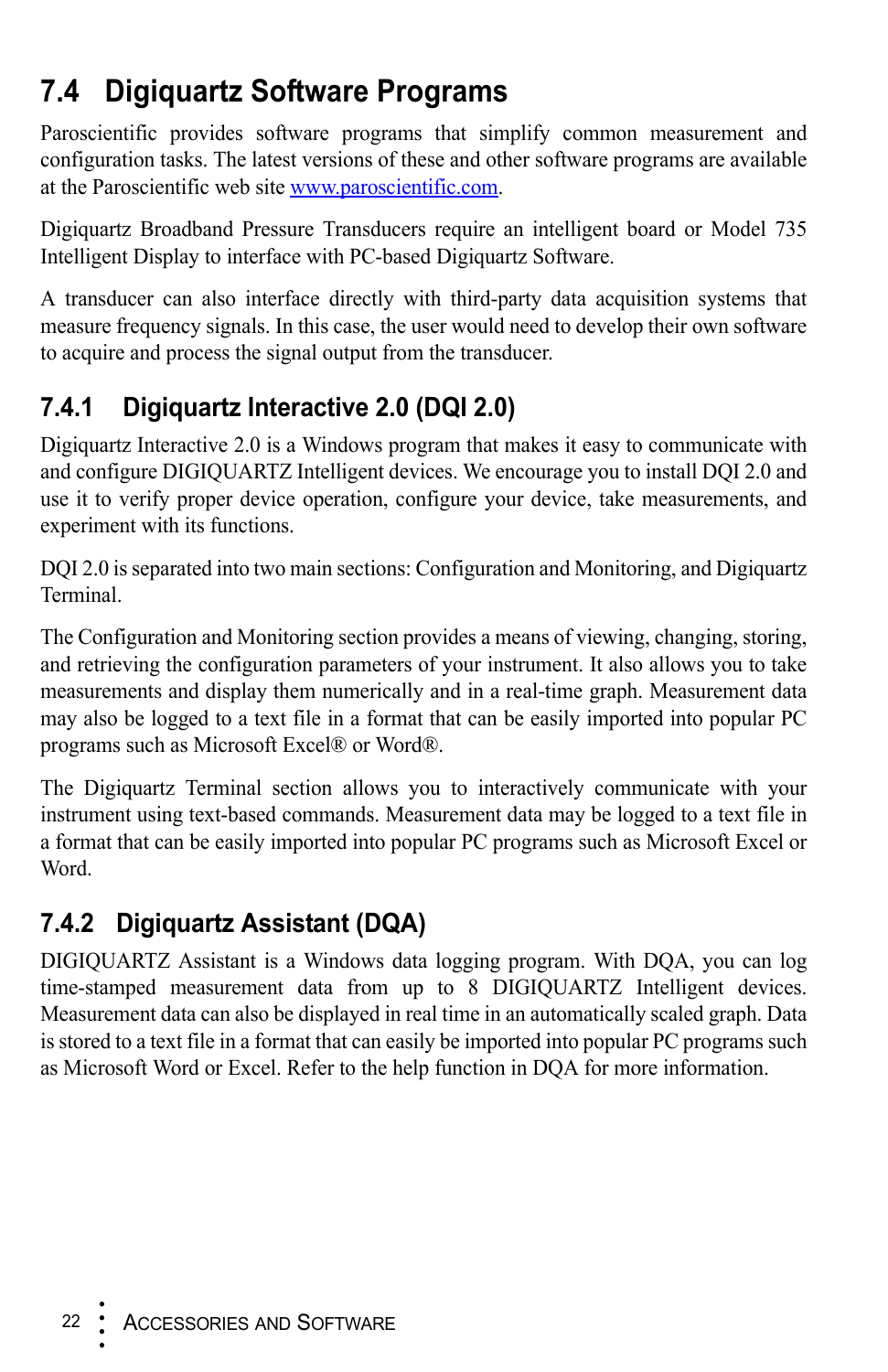# <span id="page-19-0"></span>**7.4 Digiquartz Software Programs**

Paroscientific provides software programs that simplify common measurement and configuration tasks. The latest versions of these and other software programs are available at the Paroscientific web site [www.paroscientific.com](http://www.paroscientific.com).

Digiquartz Broadband Pressure Transducers require an intelligent board or Model 735 Intelligent Display to interface with PC-based Digiquartz Software.

A transducer can also interface directly with third-party data acquisition systems that measure frequency signals. In this case, the user would need to develop their own software to acquire and process the signal output from the transducer.

# **7.4.1 Digiquartz Interactive 2.0 (DQI 2.0)**

Digiquartz Interactive 2.0 is a Windows program that makes it easy to communicate with and configure DIGIQUARTZ Intelligent devices. We encourage you to install DQI 2.0 and use it to verify proper device operation, configure your device, take measurements, and experiment with its functions.

DQI 2.0 is separated into two main sections: Configuration and Monitoring, and Digiquartz **Terminal** 

The Configuration and Monitoring section provides a means of viewing, changing, storing, and retrieving the configuration parameters of your instrument. It also allows you to take measurements and display them numerically and in a real-time graph. Measurement data may also be logged to a text file in a format that can be easily imported into popular PC programs such as Microsoft Excel® or Word®.

The Digiquartz Terminal section allows you to interactively communicate with your instrument using text-based commands. Measurement data may be logged to a text file in a format that can be easily imported into popular PC programs such as Microsoft Excel or Word.

# **7.4.2 Digiquartz Assistant (DQA)**

DIGIQUARTZ Assistant is a Windows data logging program. With DQA, you can log time-stamped measurement data from up to 8 DIGIQUARTZ Intelligent devices. Measurement data can also be displayed in real time in an automatically scaled graph. Data is stored to a text file in a format that can easily be imported into popular PC programs such as Microsoft Word or Excel. Refer to the help function in DQA for more information.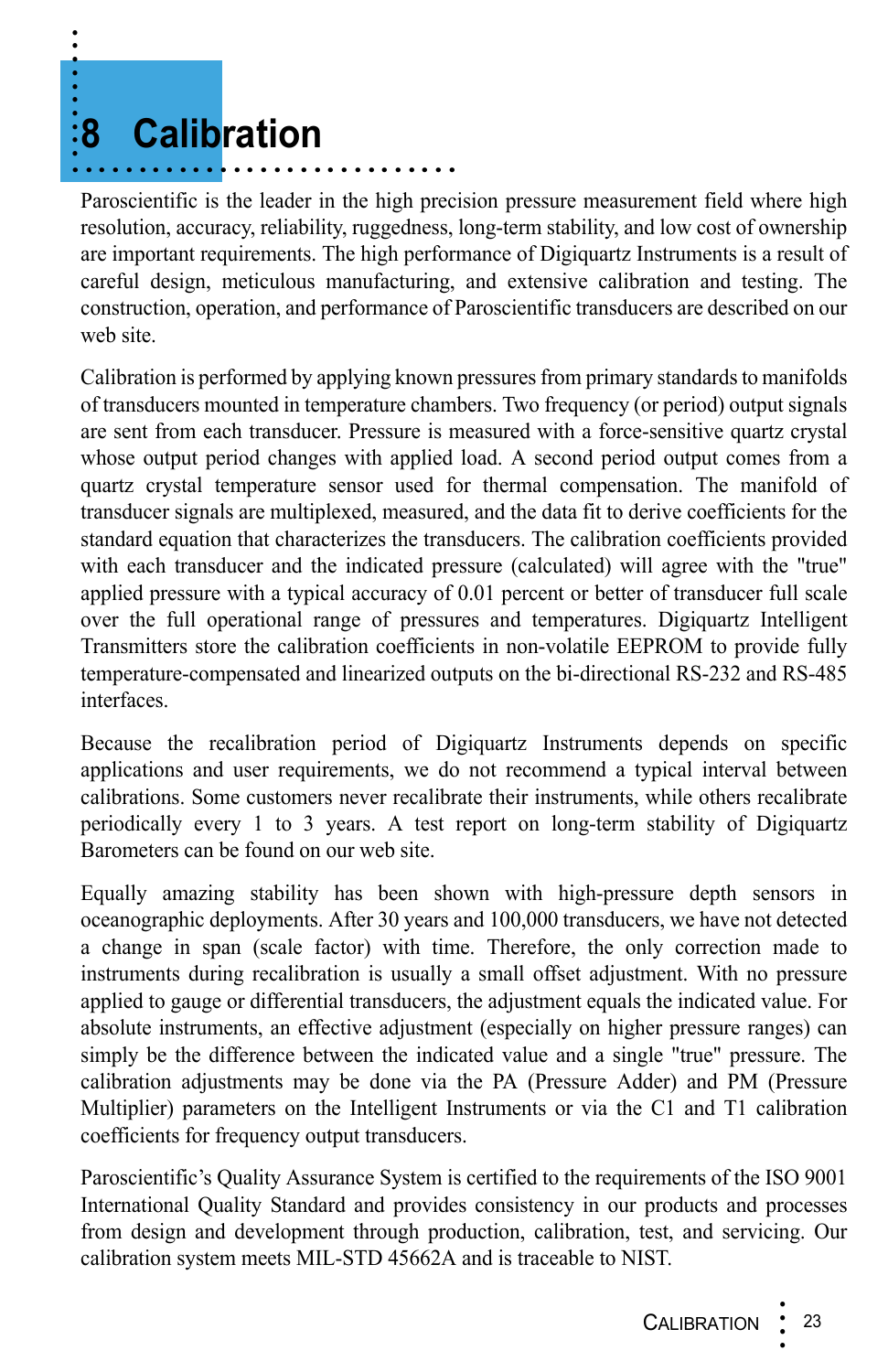#### <span id="page-20-0"></span>• • • • • • • • • • **8 Calibration**

• • • • • • • • • • • • • • • • • •

• • • • • • • • •

• •

Paroscientific is the leader in the high precision pressure measurement field where high resolution, accuracy, reliability, ruggedness, long-term stability, and low cost of ownership are important requirements. The high performance of Digiquartz Instruments is a result of careful design, meticulous manufacturing, and extensive calibration and testing. The construction, operation, and performance of Paroscientific transducers are described on our web site.

Calibration is performed by applying known pressures from primary standards to manifolds of transducers mounted in temperature chambers. Two frequency (or period) output signals are sent from each transducer. Pressure is measured with a force-sensitive quartz crystal whose output period changes with applied load. A second period output comes from a quartz crystal temperature sensor used for thermal compensation. The manifold of transducer signals are multiplexed, measured, and the data fit to derive coefficients for the standard equation that characterizes the transducers. The calibration coefficients provided with each transducer and the indicated pressure (calculated) will agree with the "true" applied pressure with a typical accuracy of 0.01 percent or better of transducer full scale over the full operational range of pressures and temperatures. Digiquartz Intelligent Transmitters store the calibration coefficients in non-volatile EEPROM to provide fully temperature-compensated and linearized outputs on the bi-directional RS-232 and RS-485 interfaces.

Because the recalibration period of Digiquartz Instruments depends on specific applications and user requirements, we do not recommend a typical interval between calibrations. Some customers never recalibrate their instruments, while others recalibrate periodically every 1 to 3 years. A test report on long-term stability of Digiquartz Barometers can be found on our web site.

Equally amazing stability has been shown with high-pressure depth sensors in oceanographic deployments. After 30 years and 100,000 transducers, we have not detected a change in span (scale factor) with time. Therefore, the only correction made to instruments during recalibration is usually a small offset adjustment. With no pressure applied to gauge or differential transducers, the adjustment equals the indicated value. For absolute instruments, an effective adjustment (especially on higher pressure ranges) can simply be the difference between the indicated value and a single "true" pressure. The calibration adjustments may be done via the PA (Pressure Adder) and PM (Pressure Multiplier) parameters on the Intelligent Instruments or via the C1 and T1 calibration coefficients for frequency output transducers.

Paroscientific's Quality Assurance System is certified to the requirements of the ISO 9001 International Quality Standard and provides consistency in our products and processes from design and development through production, calibration, test, and servicing. Our calibration system meets MIL-STD 45662A and is traceable to NIST.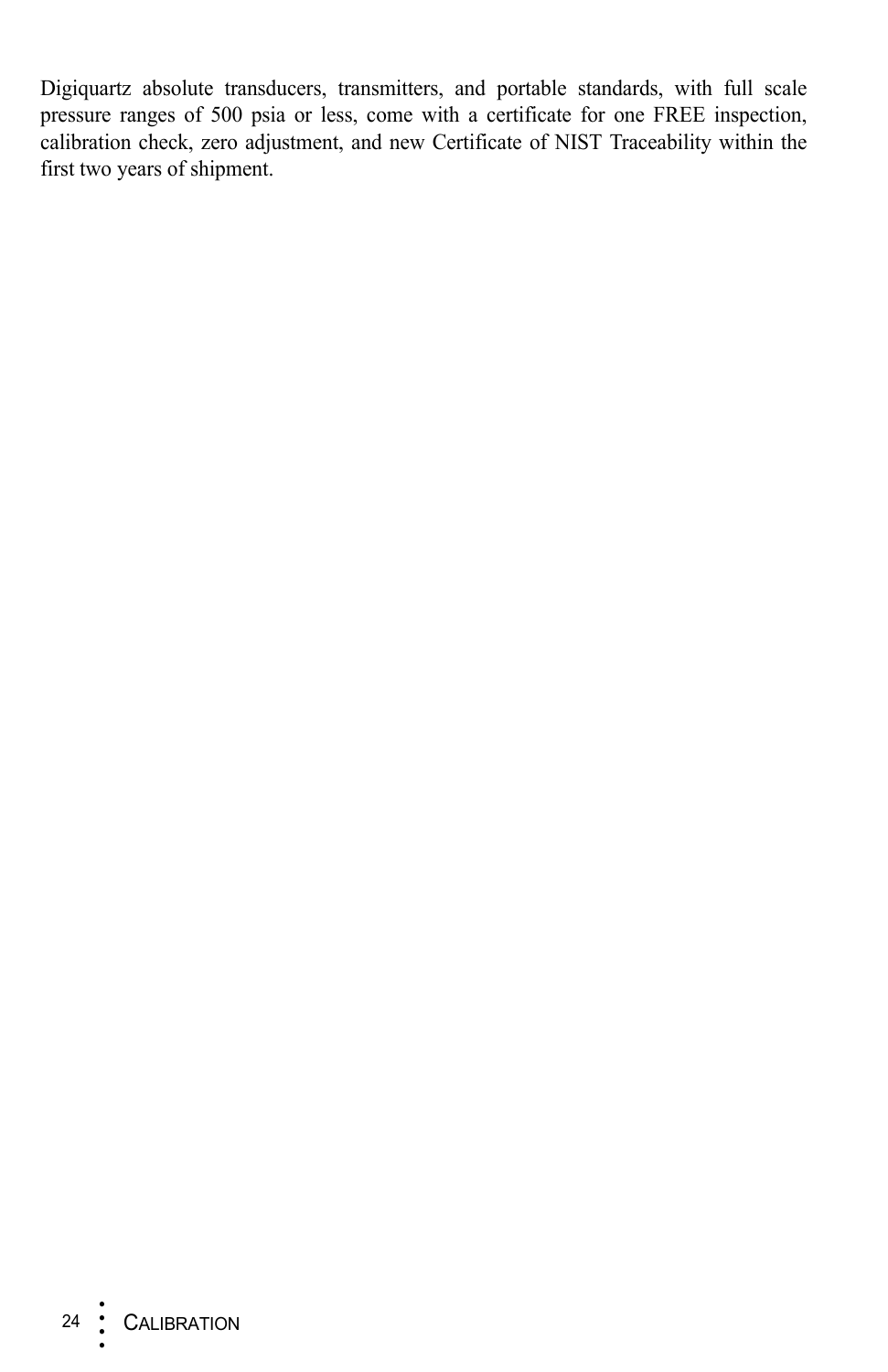Digiquartz absolute transducers, transmitters, and portable standards, with full scale pressure ranges of 500 psia or less, come with a certificate for one FREE inspection, calibration check, zero adjustment, and new Certificate of NIST Traceability within the first two years of shipment.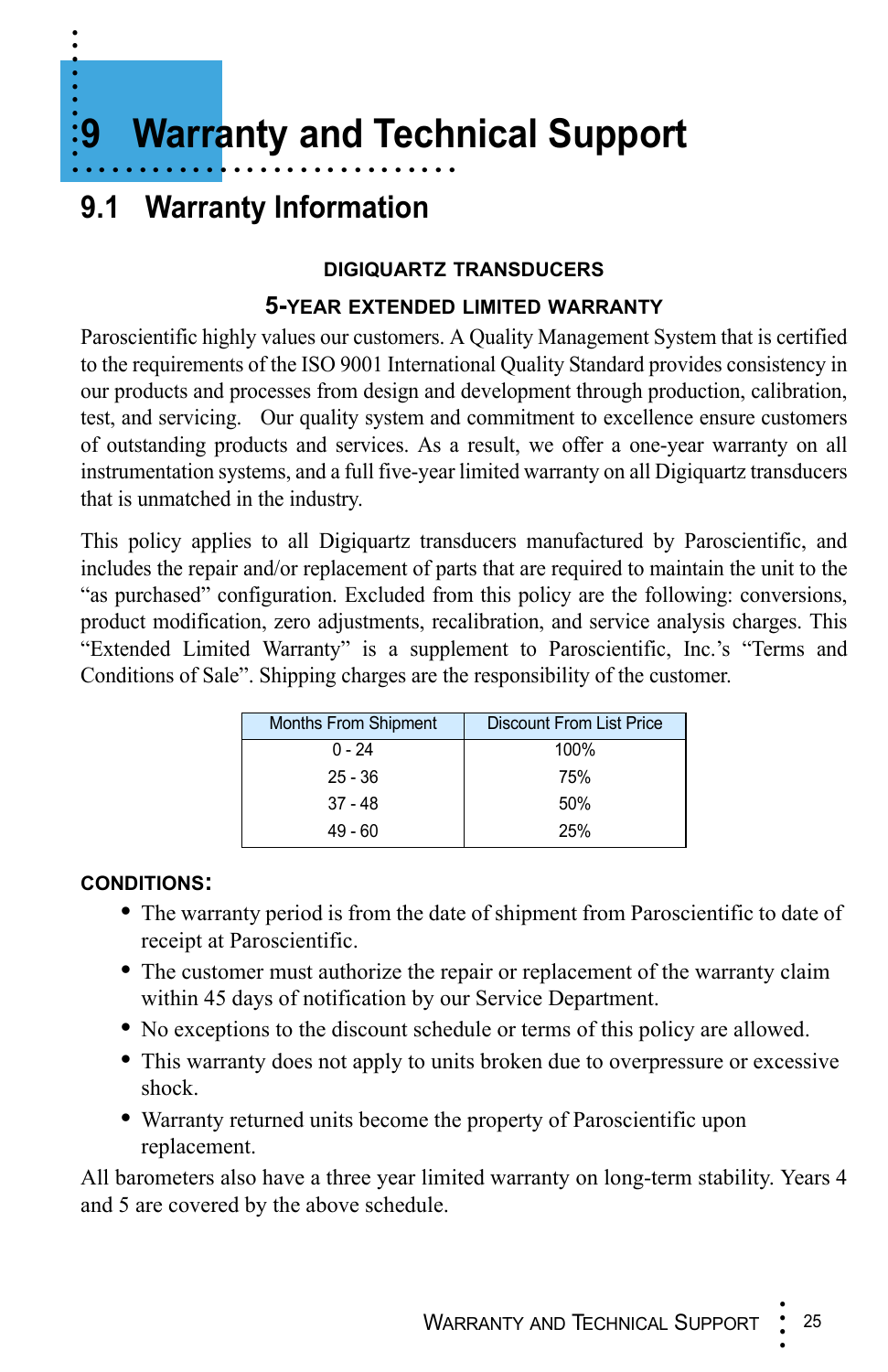<span id="page-22-0"></span>• • **Warranty and Technical Support** 

• • • •

#### <span id="page-22-1"></span>• • **9.1 Warranty Information**

• • • • • • • •

• • • • • • • • • • • • •

• • • • • • • • • •

#### **DIGIQUARTZ TRANSDUCERS**

#### **5-YEAR EXTENDED LIMITED WARRANTY**

[Paroscientific highly values our customers. A Quality Management System that is certified](http://www.paroscientific.com/iso9001.htm) to the requirements of the ISO 9001 International Quality Standard provides consistency in our products and processes from design and development through production, calibration, test, and servicing. Our quality system and commitment to excellence ensure customers of outstanding products and services. As a result, we offer a one-year warranty on all instrumentation systems, and a full five-year limited warranty on all Digiquartz transducers that is unmatched in the industry.

This policy applies to all Digiquartz transducers manufactured by Paroscientific, and includes the repair and/or replacement of parts that are required to maintain the unit to the "as purchased" configuration. Excluded from this policy are the following: conversions, product modification, zero adjustments, recalibration, and service analysis charges. This "Extended Limited Warranty" is a supplement to Paroscientific, Inc.'s ["Terms and](http://www.paroscientific.com/pdf/TandC1.pdf) [Conditions of Sale"](http://www.paroscientific.com/pdf/TandC1.pdf). Shipping charges are the responsibility of the customer.

| <b>Months From Shipment</b> | <b>Discount From List Price</b> |
|-----------------------------|---------------------------------|
| $0 - 24$                    | 100%                            |
| $25 - 36$                   | 75%                             |
| $37 - 48$                   | 50%                             |
| $49 - 60$                   | 25%                             |

#### **CONDITIONS:**

- **•** The warranty period is from the date of shipment from Paroscientific to date of receipt at Paroscientific.
- **•** The customer must authorize the repair or replacement of the warranty claim within 45 days of notification by our Service Department.
- **•** No exceptions to the discount schedule or terms of this policy are allowed.
- **•** This warranty does not apply to units broken due to overpressure or excessive shock.
- **•** Warranty returned units become the property of Paroscientific upon replacement.

All barometers also have a three year limited warranty on long-term stability. Years 4 and 5 are covered by the above schedule.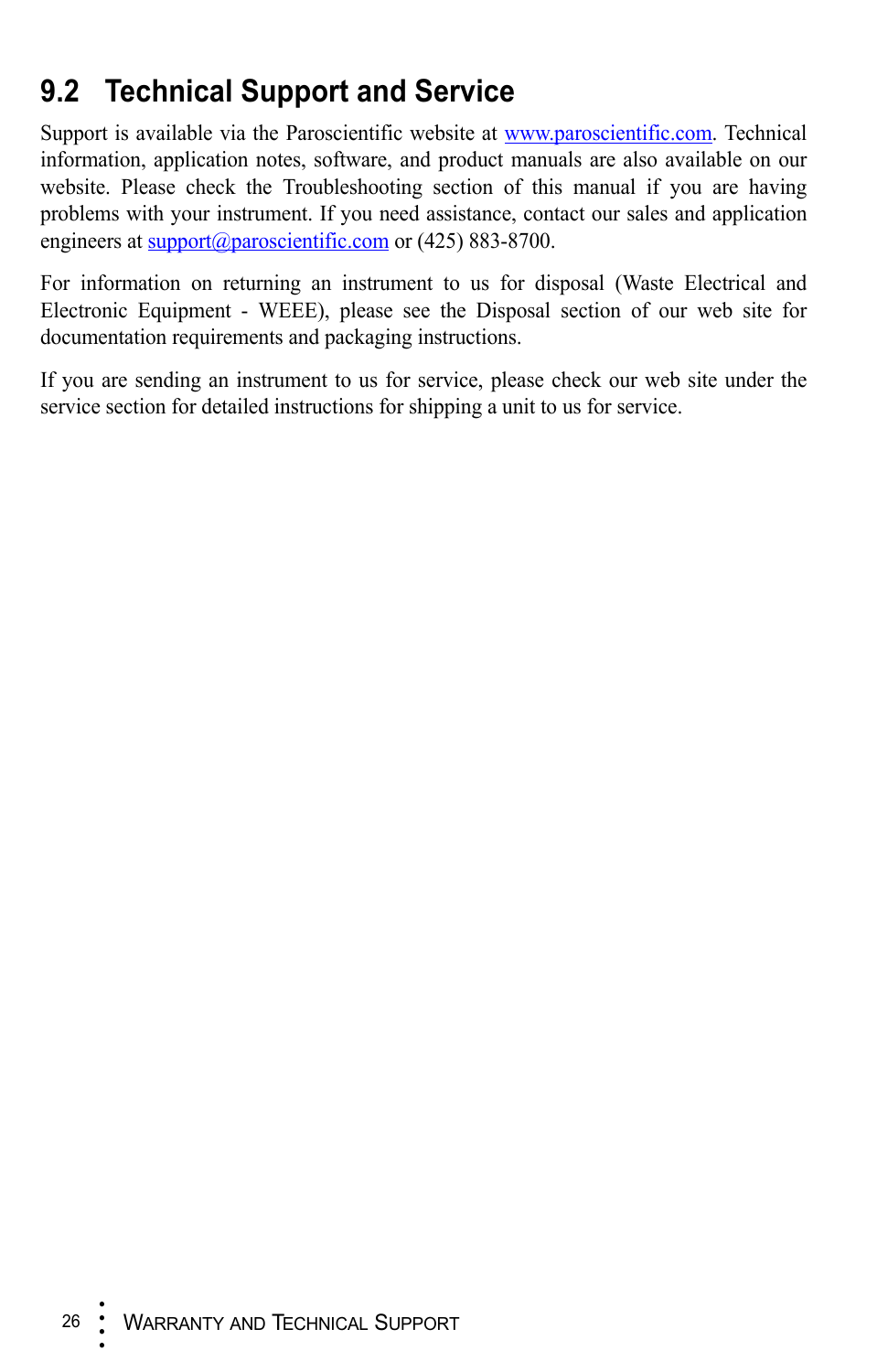# <span id="page-23-0"></span>**9.2 Technical Support and Service**

[Support is available via the Paroscientific website at](http://www.paroscientific.com) www.paroscientific.com. Technical information, application notes, software, and product manuals are also available on our website. Please check the Troubleshooting section of this manual if you are having problems with your instrument. If you need assistance, contact our sales and application engineers at **support**@paroscientific.com or (425) 883-8700.

For information on returning an instrument to us for disposal (Waste Electrical and Electronic Equipment - WEEE), please see the Disposal section of our web site for documentation requirements and packaging instructions.

If you are sending an instrument to us for service, please check our web site under the service section for detailed instructions for shipping a unit to us for service.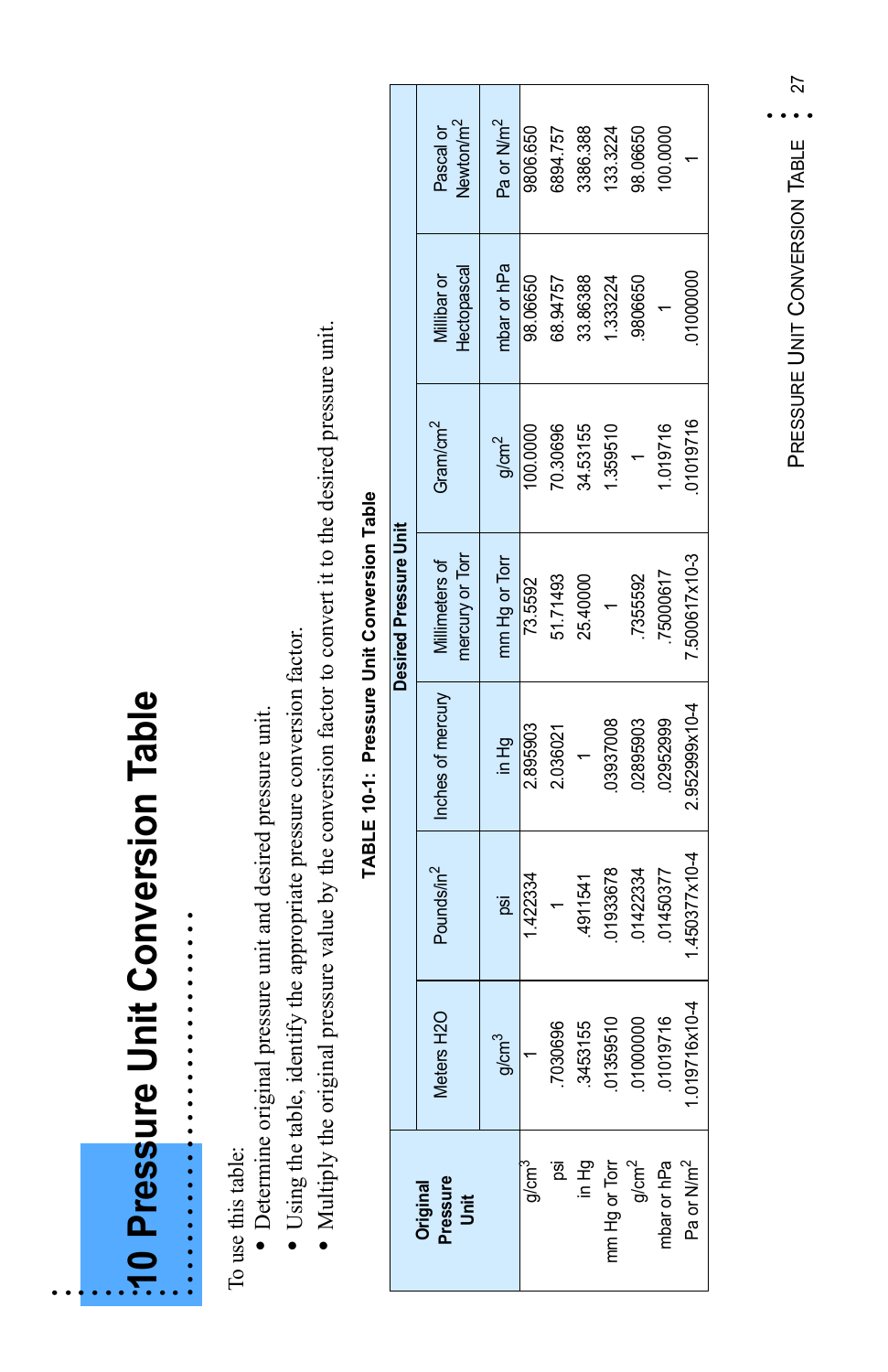**10 Pressure Unit Conversion Table**

<span id="page-24-0"></span>• •• •• • • • •••

• •

• •••••••••••••••••••••••••

To use this table: To use this table:

- Determine original pressure unit and desired pressure unit. Determine original pressure unit and desired pressure unit.
- Using the table, identify the appropriate pressure conversion factor. Using the table, identify the appropriate pressure conversion factor.
- Multiply the original pressure value by the conversion factor to convert it to the desired pressure unit. Multiply the original pressure value by the conversion factor to convert it to the desired pressure unit.

|                                       |                         |                        |                   | <b>Desired Pressure Unit</b>      |                      |                                   |                                    |
|---------------------------------------|-------------------------|------------------------|-------------------|-----------------------------------|----------------------|-----------------------------------|------------------------------------|
| Original<br>Pressure<br>Unit          | Meters H <sub>2</sub> O | Pounds/in <sup>2</sup> | Inches of mercury | mercury or Torr<br>Millimeters of | Gram/cm <sup>2</sup> | Hectopascal<br><b>Millibar or</b> | Newton/m <sup>2</sup><br>Pascal or |
|                                       | $\mathsf{g/cm}^3$       | βä                     | in Hg             | mm Hg or Torr                     | g/cm <sup>2</sup>    | mbar or hPa                       | Pa or N/m <sup>2</sup>             |
| g/cm <sup>-</sup>                     |                         | 1.422334               | 2.895903          | 73.5592                           | 00.0000              | 0990.86                           | 9806.650                           |
|                                       | 7030696                 |                        | 2.036021          | 51.71493                          | 70.30696             | 68.94757                          | 6894.757                           |
| $\frac{1}{2}$                         | .3453155                | 14911541               |                   | 25.40000                          | 34.53155             | 33.86388                          | 3386.388                           |
|                                       | 01359510                | 01933678               | 03937008          |                                   | 1.359510             | 1.333224                          | 133.3224                           |
| mm Hg or Torr $g/cm^2$                | 01000000                | 01422334               | 02895903          | 7355592                           |                      | 9806650                           | 98.06650                           |
| mbar or hPa<br>Pa or N/m <sup>2</sup> | 01019716                | 01450377               | 02952999          | 75000617                          | 019716               |                                   | 00.0000                            |
|                                       | 019716x10-4             | 1.450377x10-4          | 2.952999x10-4     | 7.500617x10-3                     | 01019716             | 01000000                          |                                    |

# TABLE 10-1: Pressure Unit Conversion Table  **TABLE 10-1: Pressure Unit Conversion Table**

PRESSURE UNIT CONVERSION TABLE PRESSURE UNIT CONVERSION TABLE

•

•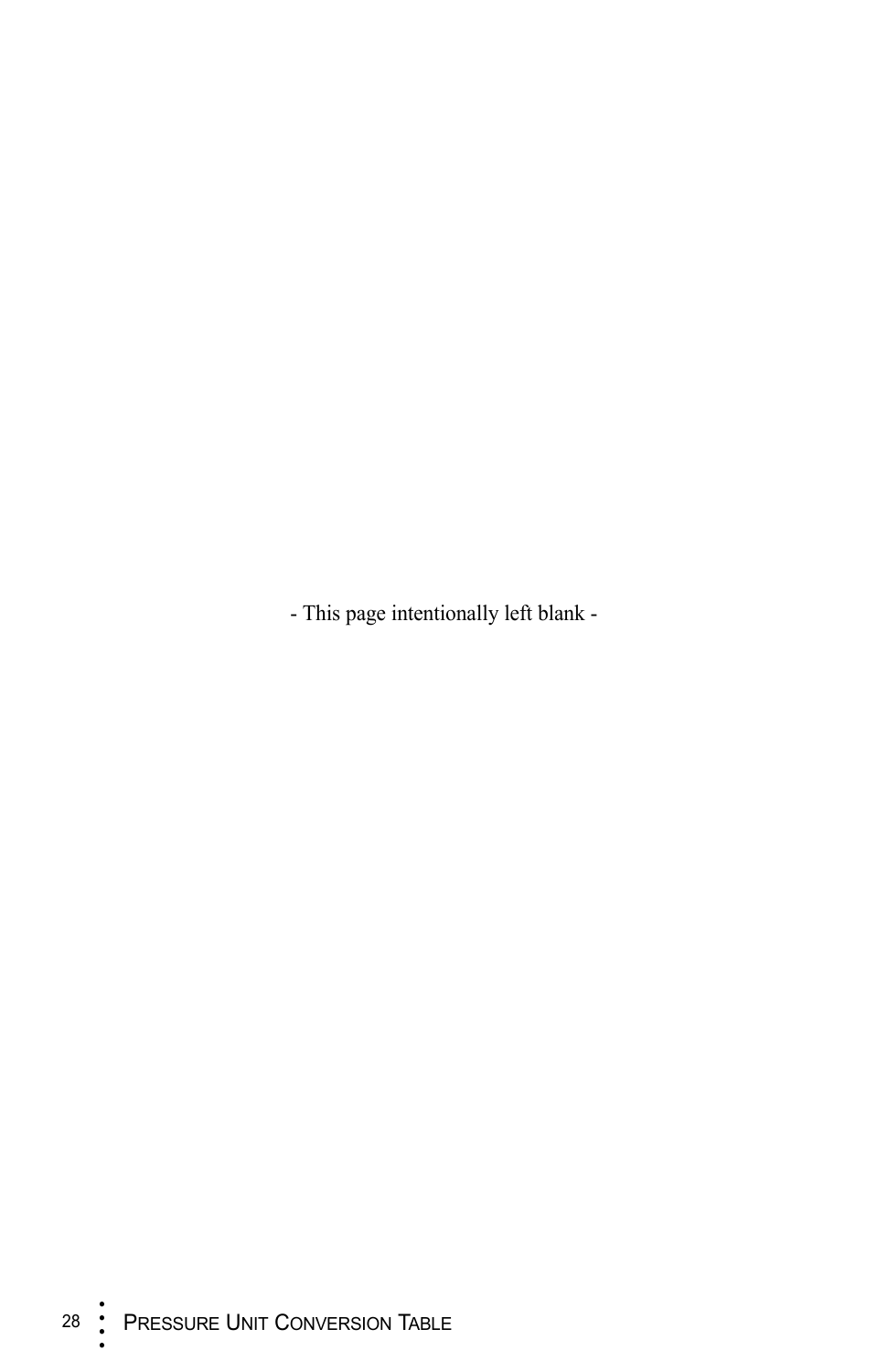- This page intentionally left blank -